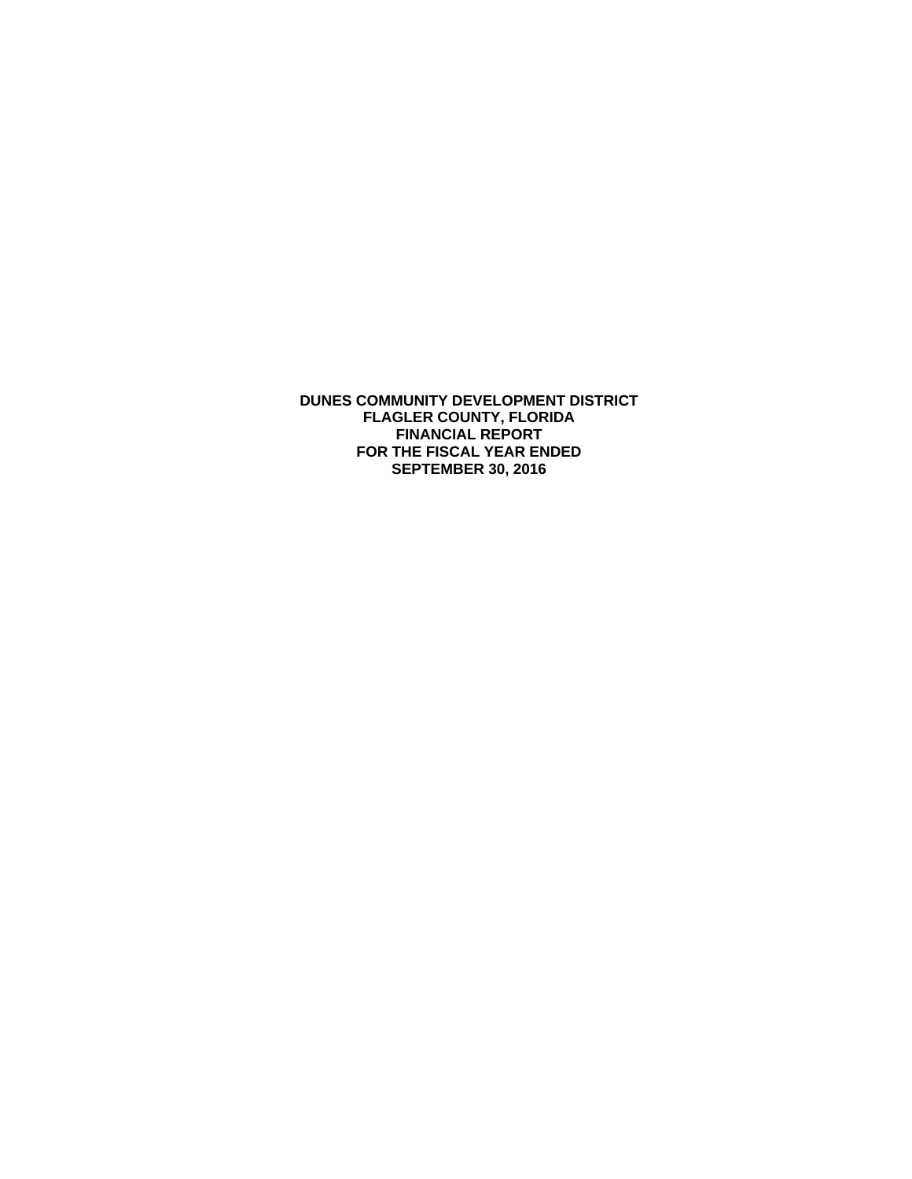**DUNES COMMUNITY DEVELOPMENT DISTRICT FLAGLER COUNTY, FLORIDA FINANCIAL REPORT FOR THE FISCAL YEAR ENDED SEPTEMBER 30, 2016**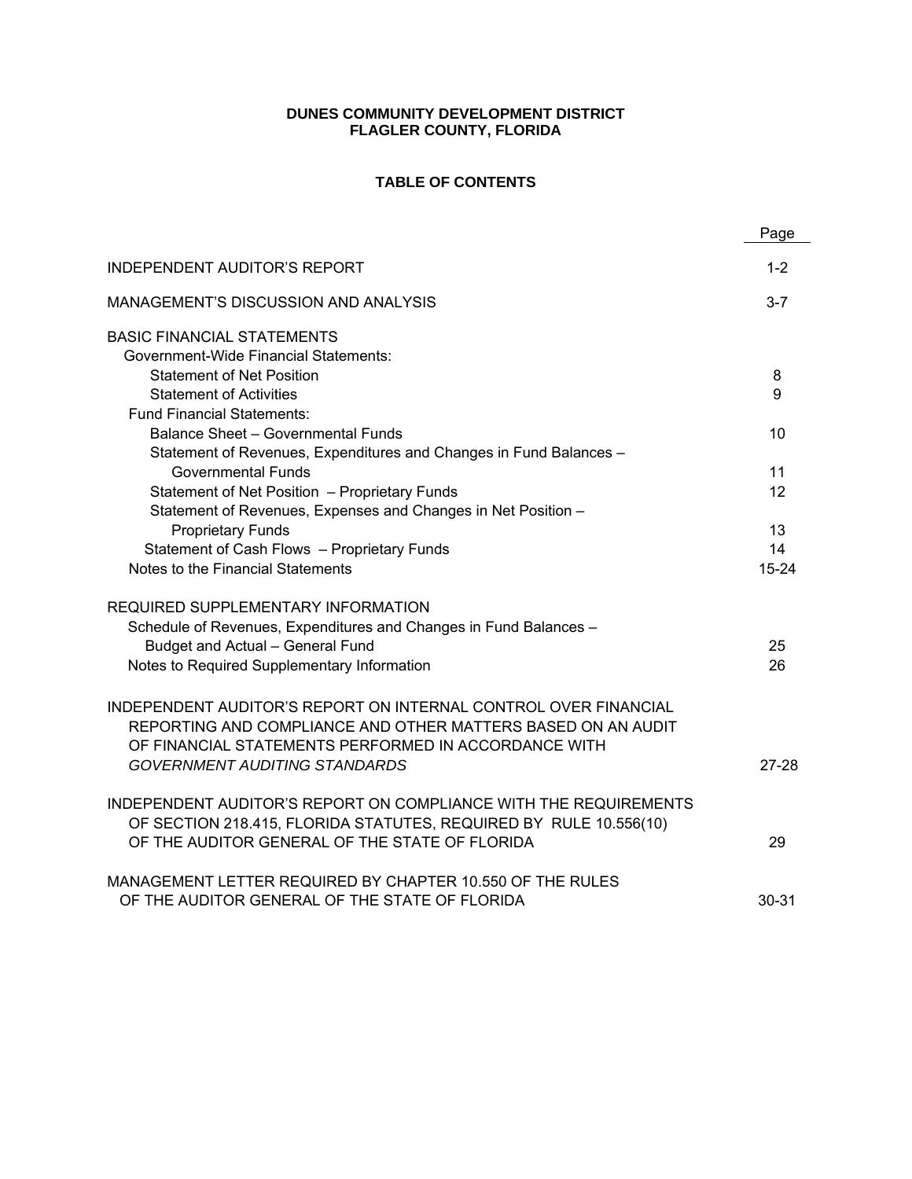# **DUNES COMMUNITY DEVELOPMENT DISTRICT FLAGLER COUNTY, FLORIDA**

# **TABLE OF CONTENTS**

|                                                                    | Page      |
|--------------------------------------------------------------------|-----------|
| INDEPENDENT AUDITOR'S REPORT                                       | $1 - 2$   |
| <b>MANAGEMENT'S DISCUSSION AND ANALYSIS</b>                        | $3 - 7$   |
| <b>BASIC FINANCIAL STATEMENTS</b>                                  |           |
| <b>Government-Wide Financial Statements:</b>                       |           |
| <b>Statement of Net Position</b>                                   | 8         |
| <b>Statement of Activities</b>                                     | 9         |
| <b>Fund Financial Statements:</b>                                  |           |
| <b>Balance Sheet - Governmental Funds</b>                          | 10        |
| Statement of Revenues, Expenditures and Changes in Fund Balances - |           |
| <b>Governmental Funds</b>                                          | 11        |
| Statement of Net Position - Proprietary Funds                      | 12        |
| Statement of Revenues, Expenses and Changes in Net Position -      |           |
| <b>Proprietary Funds</b>                                           | 13        |
| Statement of Cash Flows - Proprietary Funds                        | 14        |
| Notes to the Financial Statements                                  | $15 - 24$ |
| <b>REQUIRED SUPPLEMENTARY INFORMATION</b>                          |           |
| Schedule of Revenues, Expenditures and Changes in Fund Balances -  |           |
| Budget and Actual - General Fund                                   | 25        |
| Notes to Required Supplementary Information                        | 26        |
|                                                                    |           |
| INDEPENDENT AUDITOR'S REPORT ON INTERNAL CONTROL OVER FINANCIAL    |           |
| REPORTING AND COMPLIANCE AND OTHER MATTERS BASED ON AN AUDIT       |           |
| OF FINANCIAL STATEMENTS PERFORMED IN ACCORDANCE WITH               |           |
| <b>GOVERNMENT AUDITING STANDARDS</b>                               | 27-28     |
|                                                                    |           |
| INDEPENDENT AUDITOR'S REPORT ON COMPLIANCE WITH THE REQUIREMENTS   |           |
| OF SECTION 218.415, FLORIDA STATUTES, REQUIRED BY RULE 10.556(10)  |           |
| OF THE AUDITOR GENERAL OF THE STATE OF FLORIDA                     | 29        |
| MANAGEMENT LETTER REQUIRED BY CHAPTER 10.550 OF THE RULES          |           |
| OF THE AUDITOR GENERAL OF THE STATE OF FLORIDA                     | $30 - 31$ |
|                                                                    |           |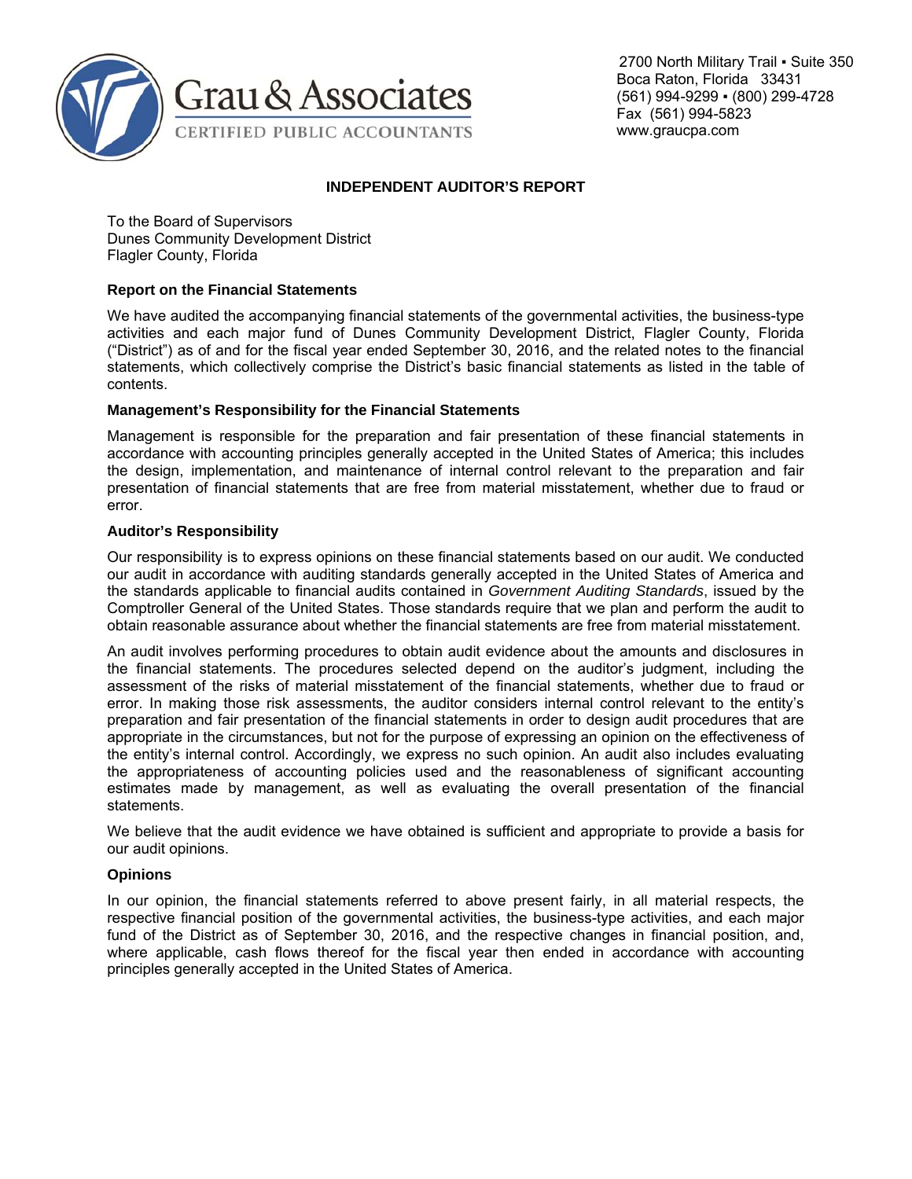

 2700 North Military Trail ▪ Suite 350 Boca Raton, Florida 33431 (561) 994-9299 ▪ (800) 299-4728 Fax (561) 994-5823 www.graucpa.com

## **INDEPENDENT AUDITOR'S REPORT**

To the Board of Supervisors Dunes Community Development District Flagler County, Florida

## **Report on the Financial Statements**

We have audited the accompanying financial statements of the governmental activities, the business-type activities and each major fund of Dunes Community Development District, Flagler County, Florida ("District") as of and for the fiscal year ended September 30, 2016, and the related notes to the financial statements, which collectively comprise the District's basic financial statements as listed in the table of contents.

## **Management's Responsibility for the Financial Statements**

Management is responsible for the preparation and fair presentation of these financial statements in accordance with accounting principles generally accepted in the United States of America; this includes the design, implementation, and maintenance of internal control relevant to the preparation and fair presentation of financial statements that are free from material misstatement, whether due to fraud or error.

## **Auditor's Responsibility**

Our responsibility is to express opinions on these financial statements based on our audit. We conducted our audit in accordance with auditing standards generally accepted in the United States of America and the standards applicable to financial audits contained in *Government Auditing Standards*, issued by the Comptroller General of the United States. Those standards require that we plan and perform the audit to obtain reasonable assurance about whether the financial statements are free from material misstatement.

An audit involves performing procedures to obtain audit evidence about the amounts and disclosures in the financial statements. The procedures selected depend on the auditor's judgment, including the assessment of the risks of material misstatement of the financial statements, whether due to fraud or error. In making those risk assessments, the auditor considers internal control relevant to the entity's preparation and fair presentation of the financial statements in order to design audit procedures that are appropriate in the circumstances, but not for the purpose of expressing an opinion on the effectiveness of the entity's internal control. Accordingly, we express no such opinion. An audit also includes evaluating the appropriateness of accounting policies used and the reasonableness of significant accounting estimates made by management, as well as evaluating the overall presentation of the financial statements.

We believe that the audit evidence we have obtained is sufficient and appropriate to provide a basis for our audit opinions.

## **Opinions**

In our opinion, the financial statements referred to above present fairly, in all material respects, the respective financial position of the governmental activities, the business-type activities, and each major fund of the District as of September 30, 2016, and the respective changes in financial position, and, where applicable, cash flows thereof for the fiscal year then ended in accordance with accounting principles generally accepted in the United States of America.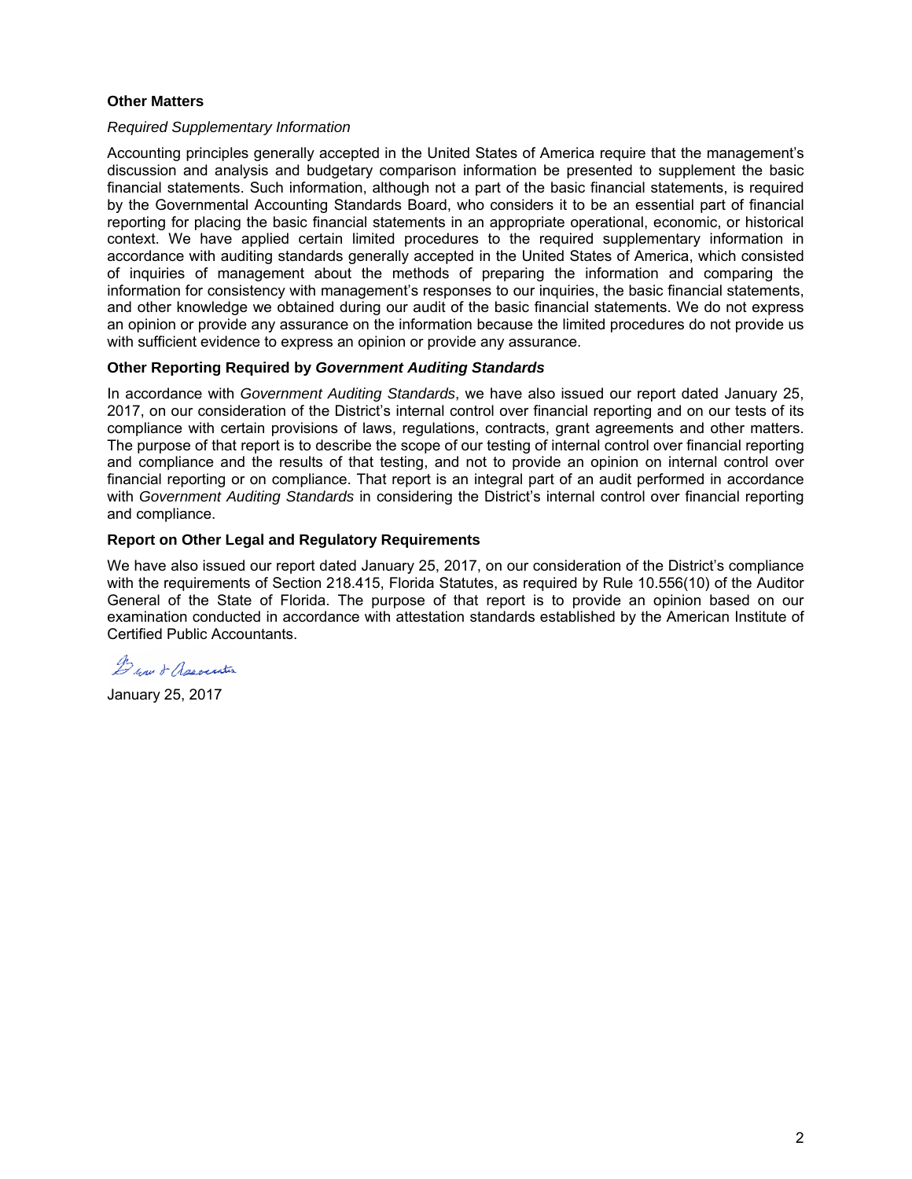## **Other Matters**

#### *Required Supplementary Information*

Accounting principles generally accepted in the United States of America require that the management's discussion and analysis and budgetary comparison information be presented to supplement the basic financial statements. Such information, although not a part of the basic financial statements, is required by the Governmental Accounting Standards Board, who considers it to be an essential part of financial reporting for placing the basic financial statements in an appropriate operational, economic, or historical context. We have applied certain limited procedures to the required supplementary information in accordance with auditing standards generally accepted in the United States of America, which consisted of inquiries of management about the methods of preparing the information and comparing the information for consistency with management's responses to our inquiries, the basic financial statements, and other knowledge we obtained during our audit of the basic financial statements. We do not express an opinion or provide any assurance on the information because the limited procedures do not provide us with sufficient evidence to express an opinion or provide any assurance.

## **Other Reporting Required by** *Government Auditing Standards*

In accordance with *Government Auditing Standards*, we have also issued our report dated January 25, 2017, on our consideration of the District's internal control over financial reporting and on our tests of its compliance with certain provisions of laws, regulations, contracts, grant agreements and other matters. The purpose of that report is to describe the scope of our testing of internal control over financial reporting and compliance and the results of that testing, and not to provide an opinion on internal control over financial reporting or on compliance. That report is an integral part of an audit performed in accordance with *Government Auditing Standards* in considering the District's internal control over financial reporting and compliance.

## **Report on Other Legal and Regulatory Requirements**

We have also issued our report dated January 25, 2017, on our consideration of the District's compliance with the requirements of Section 218.415, Florida Statutes, as required by Rule 10.556(10) of the Auditor General of the State of Florida. The purpose of that report is to provide an opinion based on our examination conducted in accordance with attestation standards established by the American Institute of Certified Public Accountants.

Dear & Association

January 25, 2017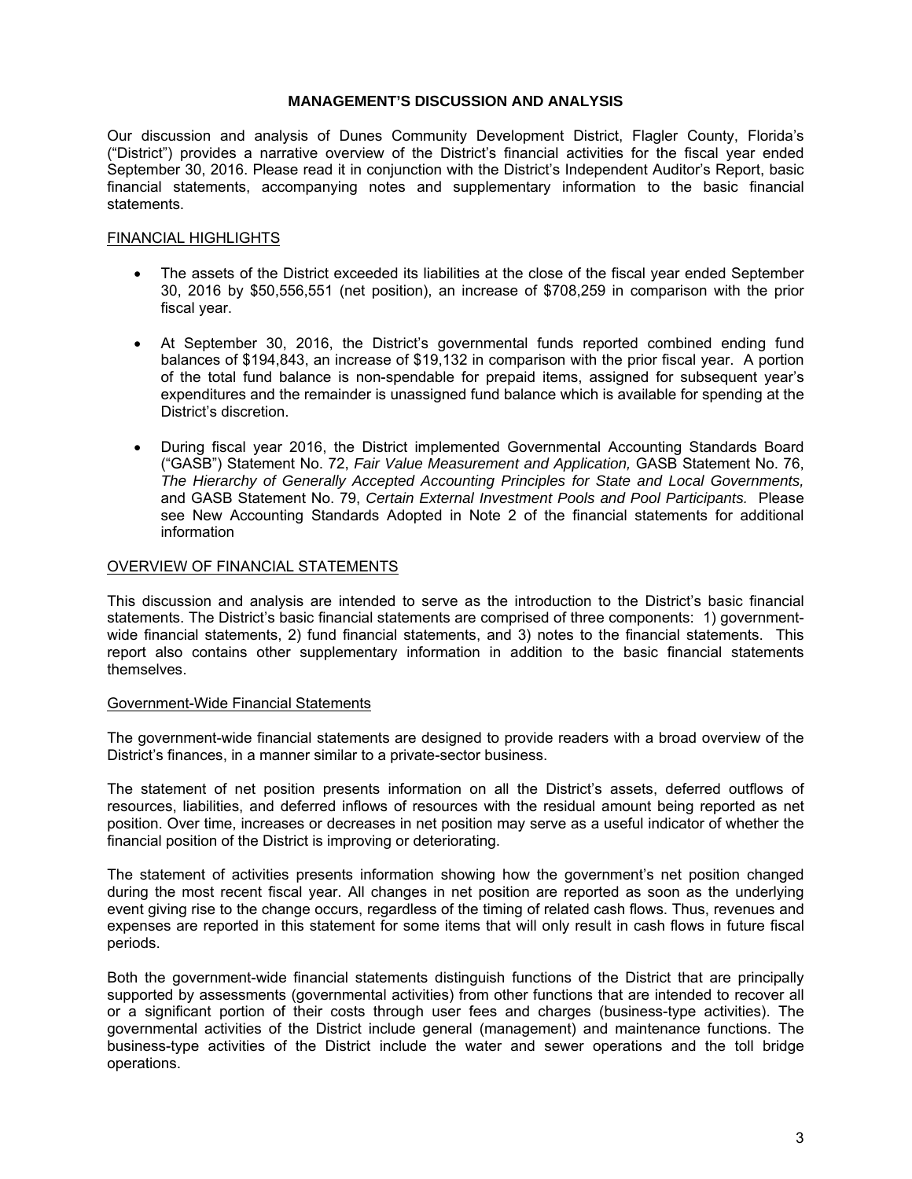## **MANAGEMENT'S DISCUSSION AND ANALYSIS**

Our discussion and analysis of Dunes Community Development District, Flagler County, Florida's ("District") provides a narrative overview of the District's financial activities for the fiscal year ended September 30, 2016. Please read it in conjunction with the District's Independent Auditor's Report, basic financial statements, accompanying notes and supplementary information to the basic financial statements.

## FINANCIAL HIGHLIGHTS

- The assets of the District exceeded its liabilities at the close of the fiscal year ended September 30, 2016 by \$50,556,551 (net position), an increase of \$708,259 in comparison with the prior fiscal year.
- At September 30, 2016, the District's governmental funds reported combined ending fund balances of \$194,843, an increase of \$19,132 in comparison with the prior fiscal year. A portion of the total fund balance is non-spendable for prepaid items, assigned for subsequent year's expenditures and the remainder is unassigned fund balance which is available for spending at the District's discretion.
- During fiscal year 2016, the District implemented Governmental Accounting Standards Board ("GASB") Statement No. 72, *Fair Value Measurement and Application,* GASB Statement No. 76, *The Hierarchy of Generally Accepted Accounting Principles for State and Local Governments,*  and GASB Statement No. 79, *Certain External Investment Pools and Pool Participants.* Please see New Accounting Standards Adopted in Note 2 of the financial statements for additional information

## OVERVIEW OF FINANCIAL STATEMENTS

This discussion and analysis are intended to serve as the introduction to the District's basic financial statements. The District's basic financial statements are comprised of three components: 1) governmentwide financial statements, 2) fund financial statements, and 3) notes to the financial statements. This report also contains other supplementary information in addition to the basic financial statements themselves.

## Government-Wide Financial Statements

The government-wide financial statements are designed to provide readers with a broad overview of the District's finances, in a manner similar to a private-sector business.

The statement of net position presents information on all the District's assets, deferred outflows of resources, liabilities, and deferred inflows of resources with the residual amount being reported as net position. Over time, increases or decreases in net position may serve as a useful indicator of whether the financial position of the District is improving or deteriorating.

The statement of activities presents information showing how the government's net position changed during the most recent fiscal year. All changes in net position are reported as soon as the underlying event giving rise to the change occurs, regardless of the timing of related cash flows. Thus, revenues and expenses are reported in this statement for some items that will only result in cash flows in future fiscal periods.

Both the government-wide financial statements distinguish functions of the District that are principally supported by assessments (governmental activities) from other functions that are intended to recover all or a significant portion of their costs through user fees and charges (business-type activities). The governmental activities of the District include general (management) and maintenance functions. The business-type activities of the District include the water and sewer operations and the toll bridge operations.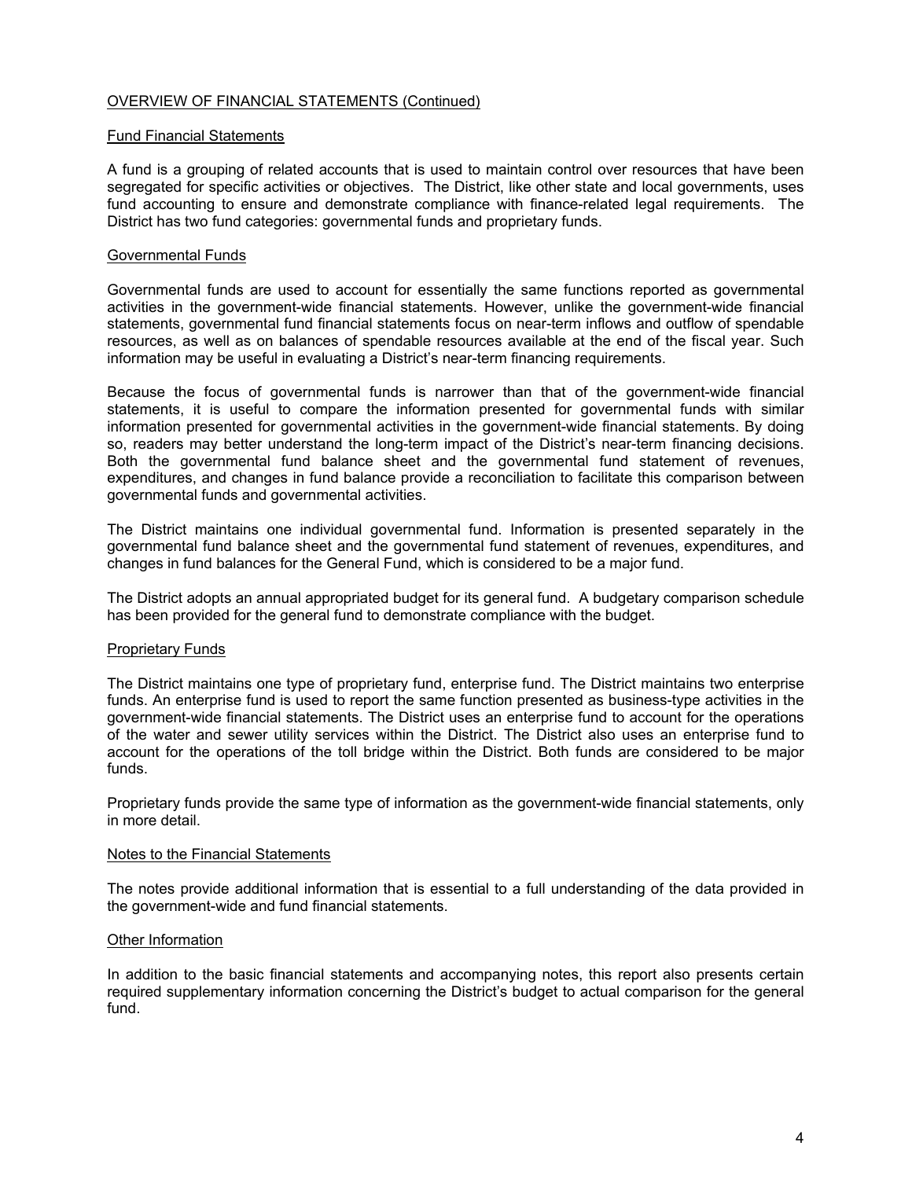## OVERVIEW OF FINANCIAL STATEMENTS (Continued)

## Fund Financial Statements

A fund is a grouping of related accounts that is used to maintain control over resources that have been segregated for specific activities or objectives. The District, like other state and local governments, uses fund accounting to ensure and demonstrate compliance with finance-related legal requirements. The District has two fund categories: governmental funds and proprietary funds.

#### Governmental Funds

Governmental funds are used to account for essentially the same functions reported as governmental activities in the government-wide financial statements. However, unlike the government-wide financial statements, governmental fund financial statements focus on near-term inflows and outflow of spendable resources, as well as on balances of spendable resources available at the end of the fiscal year. Such information may be useful in evaluating a District's near-term financing requirements.

Because the focus of governmental funds is narrower than that of the government-wide financial statements, it is useful to compare the information presented for governmental funds with similar information presented for governmental activities in the government-wide financial statements. By doing so, readers may better understand the long-term impact of the District's near-term financing decisions. Both the governmental fund balance sheet and the governmental fund statement of revenues, expenditures, and changes in fund balance provide a reconciliation to facilitate this comparison between governmental funds and governmental activities.

The District maintains one individual governmental fund. Information is presented separately in the governmental fund balance sheet and the governmental fund statement of revenues, expenditures, and changes in fund balances for the General Fund, which is considered to be a major fund.

The District adopts an annual appropriated budget for its general fund. A budgetary comparison schedule has been provided for the general fund to demonstrate compliance with the budget.

## Proprietary Funds

The District maintains one type of proprietary fund, enterprise fund. The District maintains two enterprise funds. An enterprise fund is used to report the same function presented as business-type activities in the government-wide financial statements. The District uses an enterprise fund to account for the operations of the water and sewer utility services within the District. The District also uses an enterprise fund to account for the operations of the toll bridge within the District. Both funds are considered to be major funds.

Proprietary funds provide the same type of information as the government-wide financial statements, only in more detail.

#### Notes to the Financial Statements

The notes provide additional information that is essential to a full understanding of the data provided in the government-wide and fund financial statements.

#### Other Information

In addition to the basic financial statements and accompanying notes, this report also presents certain required supplementary information concerning the District's budget to actual comparison for the general fund.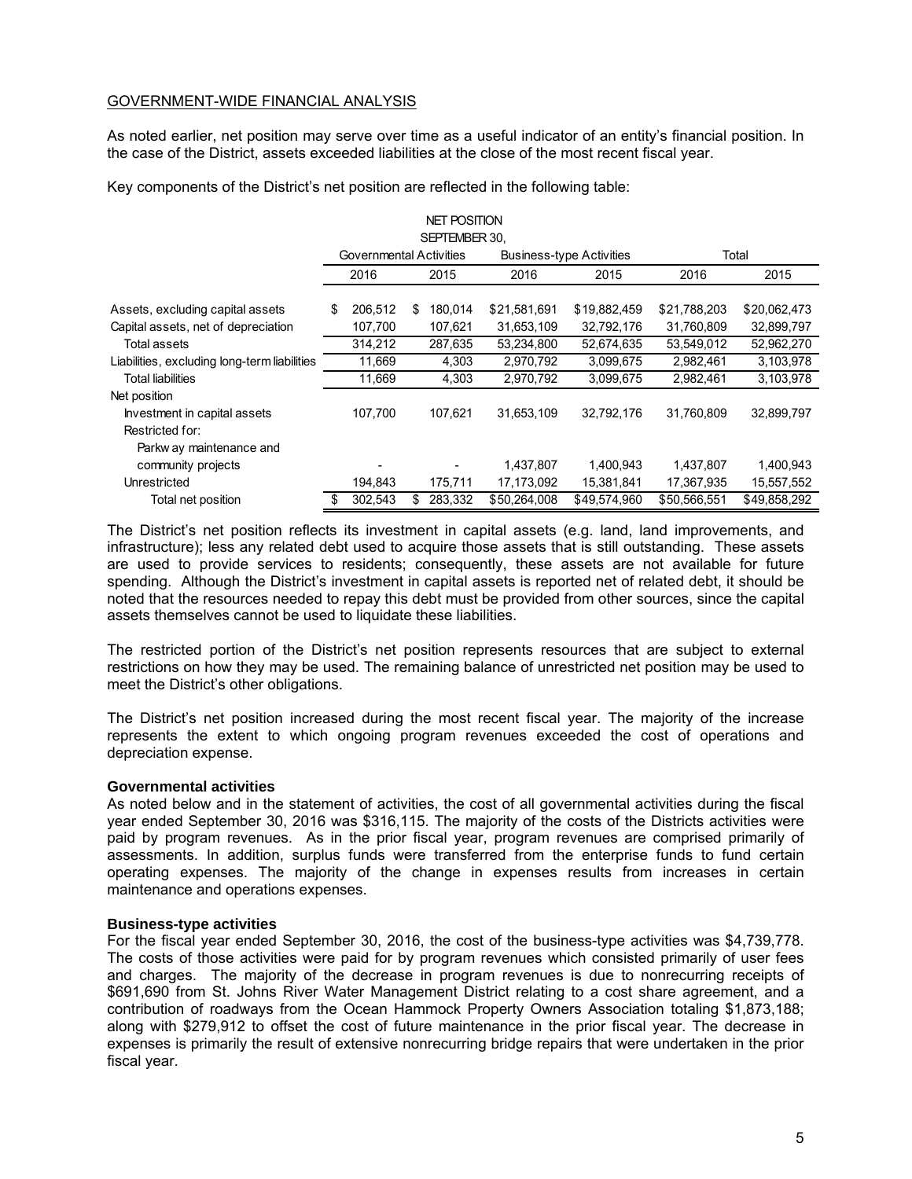## GOVERNMENT-WIDE FINANCIAL ANALYSIS

As noted earlier, net position may serve over time as a useful indicator of an entity's financial position. In the case of the District, assets exceeded liabilities at the close of the most recent fiscal year.

Key components of the District's net position are reflected in the following table:

|                                              |                         |         |    | <b>NET POSITION</b> |                                 |              |              |              |  |  |
|----------------------------------------------|-------------------------|---------|----|---------------------|---------------------------------|--------------|--------------|--------------|--|--|
| SEPTEMBER 30,                                |                         |         |    |                     |                                 |              |              |              |  |  |
|                                              | Governmental Activities |         |    |                     | <b>Business-type Activities</b> |              | Total        |              |  |  |
|                                              |                         | 2016    |    | 2015                | 2016                            | 2015         | 2016         | 2015         |  |  |
| Assets, excluding capital assets             | \$                      | 206.512 | \$ | 180,014             | \$21,581,691                    | \$19,882,459 | \$21,788,203 | \$20,062,473 |  |  |
| Capital assets, net of depreciation          |                         | 107,700 |    | 107,621             | 31,653,109                      | 32,792,176   | 31,760,809   | 32,899,797   |  |  |
| Total assets                                 |                         | 314,212 |    | 287,635             | 53,234,800                      | 52,674,635   | 53,549,012   | 52,962,270   |  |  |
| Liabilities, excluding long-term liabilities |                         | 11,669  |    | 4,303               | 2,970,792                       | 3,099,675    | 2,982,461    | 3,103,978    |  |  |
| Total liabilities                            |                         | 11,669  |    | 4,303               | 2,970,792                       | 3,099,675    | 2,982,461    | 3,103,978    |  |  |
| Net position                                 |                         |         |    |                     |                                 |              |              |              |  |  |
| Investment in capital assets                 |                         | 107,700 |    | 107,621             | 31,653,109                      | 32,792,176   | 31,760,809   | 32,899,797   |  |  |
| Restricted for:                              |                         |         |    |                     |                                 |              |              |              |  |  |
| Parkw ay maintenance and                     |                         |         |    |                     |                                 |              |              |              |  |  |
| community projects                           |                         |         |    |                     | 1,437,807                       | 1,400,943    | 1,437,807    | 1,400,943    |  |  |
| Unrestricted                                 |                         | 194,843 |    | 175,711             | 17,173,092                      | 15,381,841   | 17,367,935   | 15,557,552   |  |  |
| Total net position                           |                         | 302,543 | \$ | 283,332             | \$50,264,008                    | \$49,574,960 | \$50,566,551 | \$49,858,292 |  |  |

The District's net position reflects its investment in capital assets (e.g. land, land improvements, and infrastructure); less any related debt used to acquire those assets that is still outstanding. These assets are used to provide services to residents; consequently, these assets are not available for future spending. Although the District's investment in capital assets is reported net of related debt, it should be noted that the resources needed to repay this debt must be provided from other sources, since the capital assets themselves cannot be used to liquidate these liabilities.

The restricted portion of the District's net position represents resources that are subject to external restrictions on how they may be used. The remaining balance of unrestricted net position may be used to meet the District's other obligations.

The District's net position increased during the most recent fiscal year. The majority of the increase represents the extent to which ongoing program revenues exceeded the cost of operations and depreciation expense.

## **Governmental activities**

As noted below and in the statement of activities, the cost of all governmental activities during the fiscal year ended September 30, 2016 was \$316,115. The majority of the costs of the Districts activities were paid by program revenues. As in the prior fiscal year, program revenues are comprised primarily of assessments. In addition, surplus funds were transferred from the enterprise funds to fund certain operating expenses. The majority of the change in expenses results from increases in certain maintenance and operations expenses.

## **Business-type activities**

For the fiscal year ended September 30, 2016, the cost of the business-type activities was \$4,739,778. The costs of those activities were paid for by program revenues which consisted primarily of user fees and charges. The majority of the decrease in program revenues is due to nonrecurring receipts of \$691,690 from St. Johns River Water Management District relating to a cost share agreement, and a contribution of roadways from the Ocean Hammock Property Owners Association totaling \$1,873,188; along with \$279,912 to offset the cost of future maintenance in the prior fiscal year. The decrease in expenses is primarily the result of extensive nonrecurring bridge repairs that were undertaken in the prior fiscal year.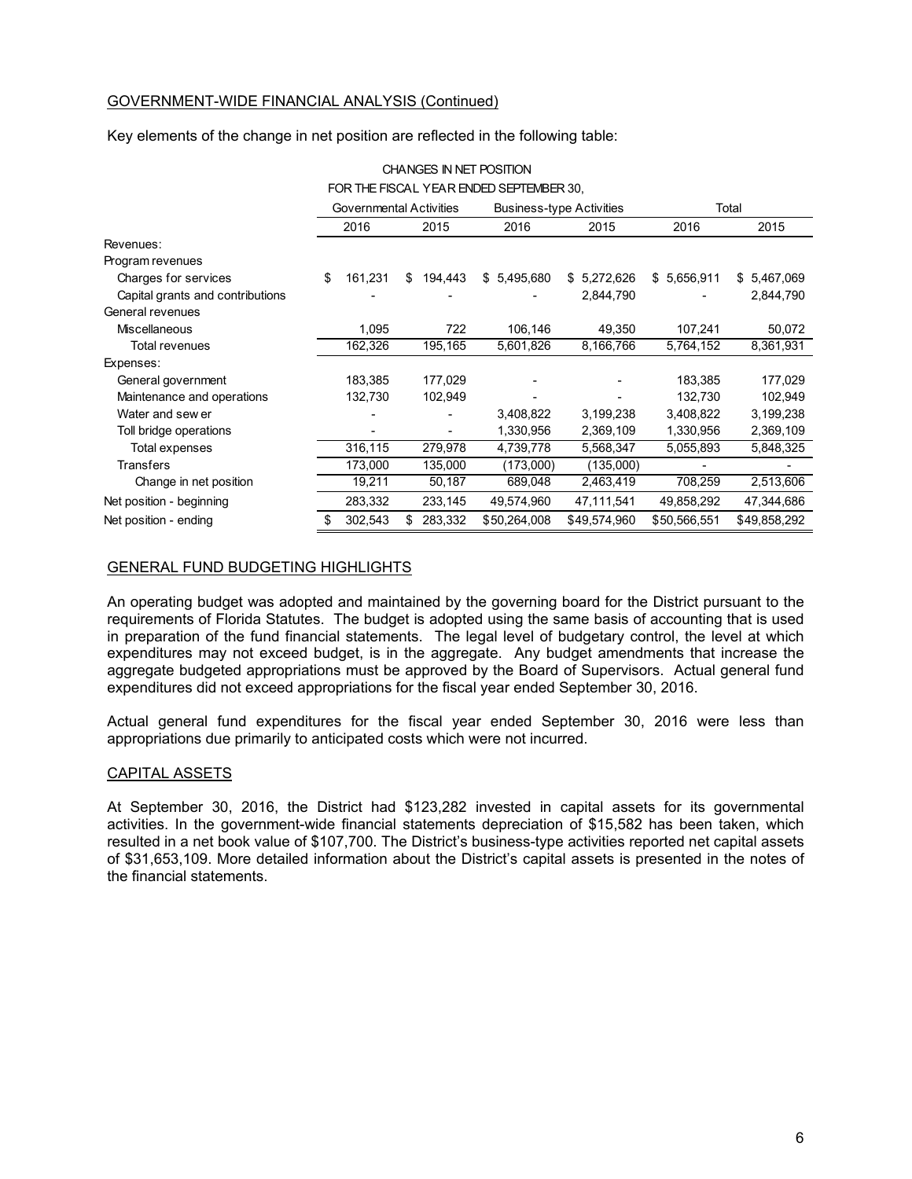## GOVERNMENT-WIDE FINANCIAL ANALYSIS (Continued)

Key elements of the change in net position are reflected in the following table:

|                                  |                                                            |    |         | FOR THE FISCAL YEAR ENDED SEPTEMBER 30. |              |              |              |
|----------------------------------|------------------------------------------------------------|----|---------|-----------------------------------------|--------------|--------------|--------------|
|                                  | Governmental Activities<br><b>Business-type Activities</b> |    |         |                                         | Total        |              |              |
|                                  | 2016                                                       |    | 2015    | 2016                                    | 2015         | 2016         | 2015         |
| Revenues:                        |                                                            |    |         |                                         |              |              |              |
| Program revenues                 |                                                            |    |         |                                         |              |              |              |
| Charges for services             | \$<br>161,231                                              | \$ | 194,443 | \$ 5,495,680                            | \$5,272,626  | \$5,656,911  | \$ 5,467,069 |
| Capital grants and contributions |                                                            |    |         |                                         | 2,844,790    |              | 2,844,790    |
| General revenues                 |                                                            |    |         |                                         |              |              |              |
| <b>Miscellaneous</b>             | 1,095                                                      |    | 722     | 106,146                                 | 49,350       | 107,241      | 50,072       |
| Total revenues                   | 162,326                                                    |    | 195,165 | 5,601,826                               | 8,166,766    | 5,764,152    | 8,361,931    |
| Expenses:                        |                                                            |    |         |                                         |              |              |              |
| General government               | 183,385                                                    |    | 177,029 |                                         |              | 183,385      | 177,029      |
| Maintenance and operations       | 132,730                                                    |    | 102,949 |                                         |              | 132,730      | 102,949      |
| Water and sew er                 |                                                            |    |         | 3,408,822                               | 3,199,238    | 3,408,822    | 3,199,238    |
| Toll bridge operations           |                                                            |    | -       | 1,330,956                               | 2,369,109    | 1,330,956    | 2,369,109    |
| Total expenses                   | 316,115                                                    |    | 279,978 | 4,739,778                               | 5,568,347    | 5,055,893    | 5,848,325    |
| <b>Transfers</b>                 | 173,000                                                    |    | 135,000 | (173,000)                               | (135,000)    |              |              |
| Change in net position           | 19,211                                                     |    | 50,187  | 689,048                                 | 2,463,419    | 708,259      | 2,513,606    |
| Net position - beginning         | 283,332                                                    |    | 233,145 | 49,574,960                              | 47,111,541   | 49,858,292   | 47,344,686   |
| Net position - ending            | \$<br>302,543                                              | \$ | 283,332 | \$50,264,008                            | \$49,574,960 | \$50,566,551 | \$49,858,292 |

CHANGES IN NET POSITION

## GENERAL FUND BUDGETING HIGHLIGHTS

An operating budget was adopted and maintained by the governing board for the District pursuant to the requirements of Florida Statutes. The budget is adopted using the same basis of accounting that is used in preparation of the fund financial statements. The legal level of budgetary control, the level at which expenditures may not exceed budget, is in the aggregate. Any budget amendments that increase the aggregate budgeted appropriations must be approved by the Board of Supervisors. Actual general fund expenditures did not exceed appropriations for the fiscal year ended September 30, 2016.

Actual general fund expenditures for the fiscal year ended September 30, 2016 were less than appropriations due primarily to anticipated costs which were not incurred.

## CAPITAL ASSETS

At September 30, 2016, the District had \$123,282 invested in capital assets for its governmental activities. In the government-wide financial statements depreciation of \$15,582 has been taken, which resulted in a net book value of \$107,700. The District's business-type activities reported net capital assets of \$31,653,109. More detailed information about the District's capital assets is presented in the notes of the financial statements.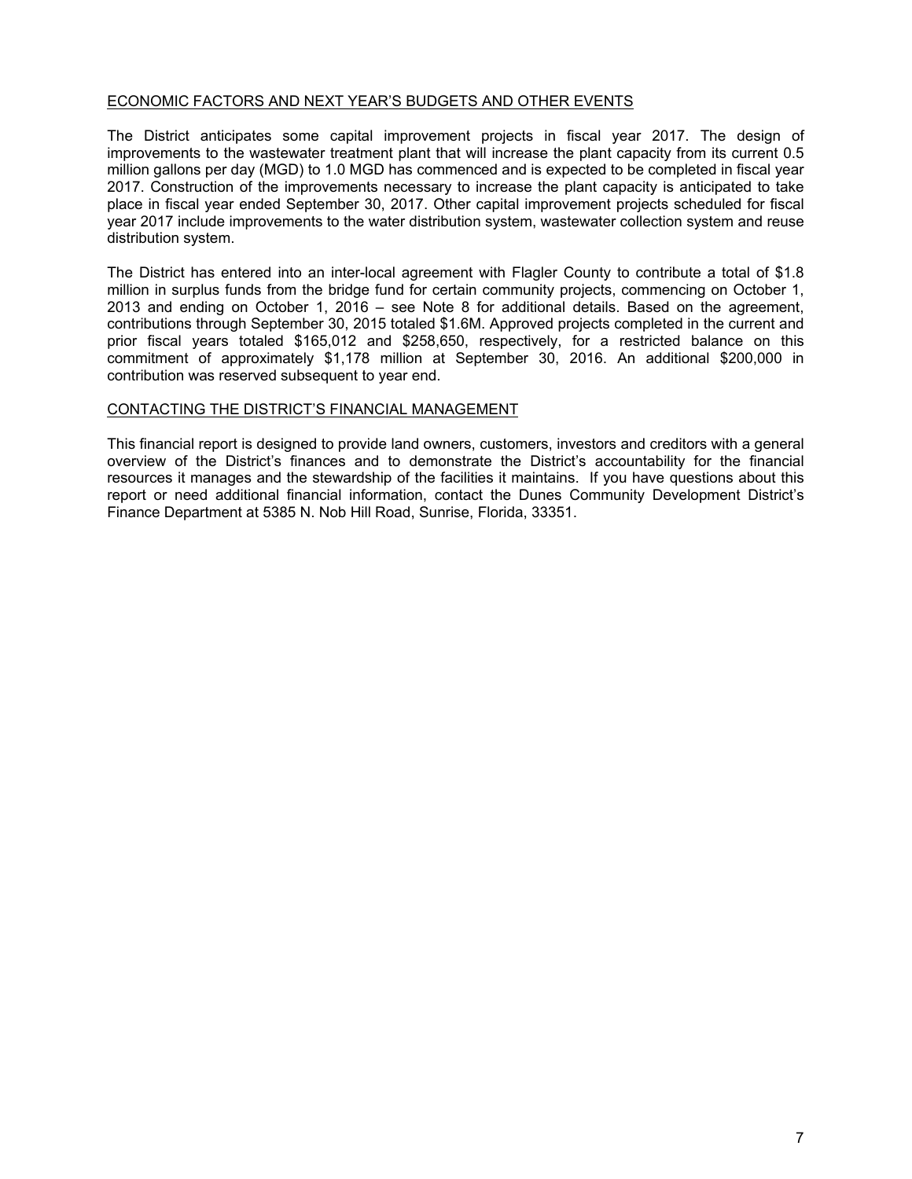## ECONOMIC FACTORS AND NEXT YEAR'S BUDGETS AND OTHER EVENTS

The District anticipates some capital improvement projects in fiscal year 2017. The design of improvements to the wastewater treatment plant that will increase the plant capacity from its current 0.5 million gallons per day (MGD) to 1.0 MGD has commenced and is expected to be completed in fiscal year 2017. Construction of the improvements necessary to increase the plant capacity is anticipated to take place in fiscal year ended September 30, 2017. Other capital improvement projects scheduled for fiscal year 2017 include improvements to the water distribution system, wastewater collection system and reuse distribution system.

The District has entered into an inter-local agreement with Flagler County to contribute a total of \$1.8 million in surplus funds from the bridge fund for certain community projects, commencing on October 1, 2013 and ending on October 1, 2016 – see Note 8 for additional details. Based on the agreement, contributions through September 30, 2015 totaled \$1.6M. Approved projects completed in the current and prior fiscal years totaled \$165,012 and \$258,650, respectively, for a restricted balance on this commitment of approximately \$1,178 million at September 30, 2016. An additional \$200,000 in contribution was reserved subsequent to year end.

#### CONTACTING THE DISTRICT'S FINANCIAL MANAGEMENT

This financial report is designed to provide land owners, customers, investors and creditors with a general overview of the District's finances and to demonstrate the District's accountability for the financial resources it manages and the stewardship of the facilities it maintains. If you have questions about this report or need additional financial information, contact the Dunes Community Development District's Finance Department at 5385 N. Nob Hill Road, Sunrise, Florida, 33351.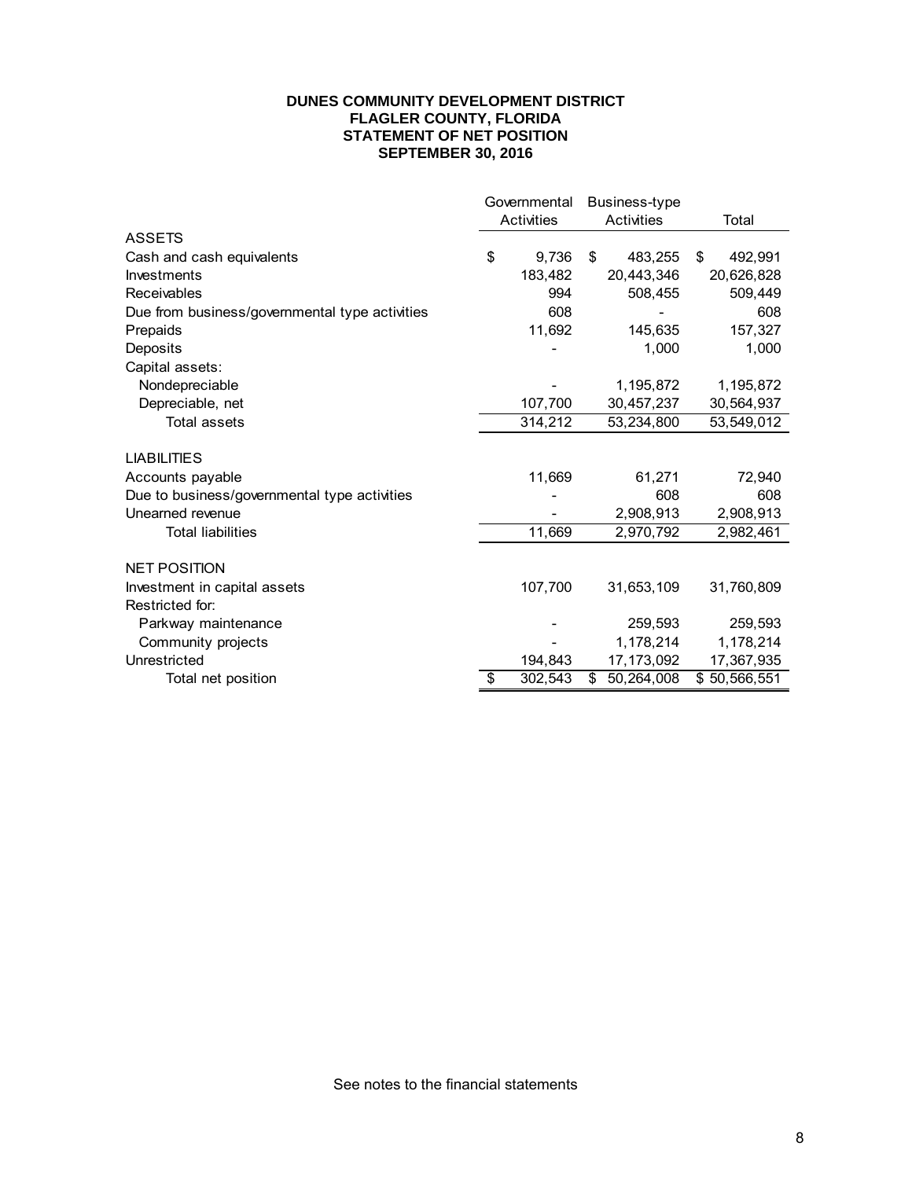## **DUNES COMMUNITY DEVELOPMENT DISTRICT FLAGLER COUNTY, FLORIDA STATEMENT OF NET POSITION SEPTEMBER 30, 2016**

|                                                | Governmental      |         | Business-type     |               |     |
|------------------------------------------------|-------------------|---------|-------------------|---------------|-----|
|                                                | <b>Activities</b> |         | <b>Activities</b> | Total         |     |
| <b>ASSETS</b>                                  |                   |         |                   |               |     |
| Cash and cash equivalents                      | \$                | 9,736   | \$<br>483,255     | \$<br>492,991 |     |
| Investments                                    |                   | 183,482 | 20,443,346        | 20,626,828    |     |
| Receivables                                    |                   | 994     | 508,455           | 509,449       |     |
| Due from business/governmental type activities |                   | 608     |                   |               | 608 |
| Prepaids                                       |                   | 11,692  | 145,635           | 157,327       |     |
| Deposits                                       |                   |         | 1,000             | 1,000         |     |
| Capital assets:                                |                   |         |                   |               |     |
| Nondepreciable                                 |                   |         | 1,195,872         | 1,195,872     |     |
| Depreciable, net                               |                   | 107,700 | 30,457,237        | 30,564,937    |     |
| <b>Total assets</b>                            |                   | 314,212 | 53,234,800        | 53,549,012    |     |
| <b>LIABILITIES</b>                             |                   |         |                   |               |     |
| Accounts payable                               |                   | 11,669  | 61,271            | 72,940        |     |
| Due to business/governmental type activities   |                   |         | 608               |               | 608 |
| Unearned revenue                               |                   |         | 2,908,913         | 2,908,913     |     |
| <b>Total liabilities</b>                       |                   | 11,669  | 2,970,792         | 2,982,461     |     |
| <b>NET POSITION</b>                            |                   |         |                   |               |     |
| Investment in capital assets                   |                   | 107,700 | 31,653,109        | 31,760,809    |     |
| Restricted for:                                |                   |         |                   |               |     |
| Parkway maintenance                            |                   |         | 259,593           | 259,593       |     |
| Community projects                             |                   |         | 1,178,214         | 1,178,214     |     |
| Unrestricted                                   |                   | 194,843 | 17, 173, 092      | 17,367,935    |     |
| Total net position                             | \$                | 302,543 | \$<br>50,264,008  | \$50,566,551  |     |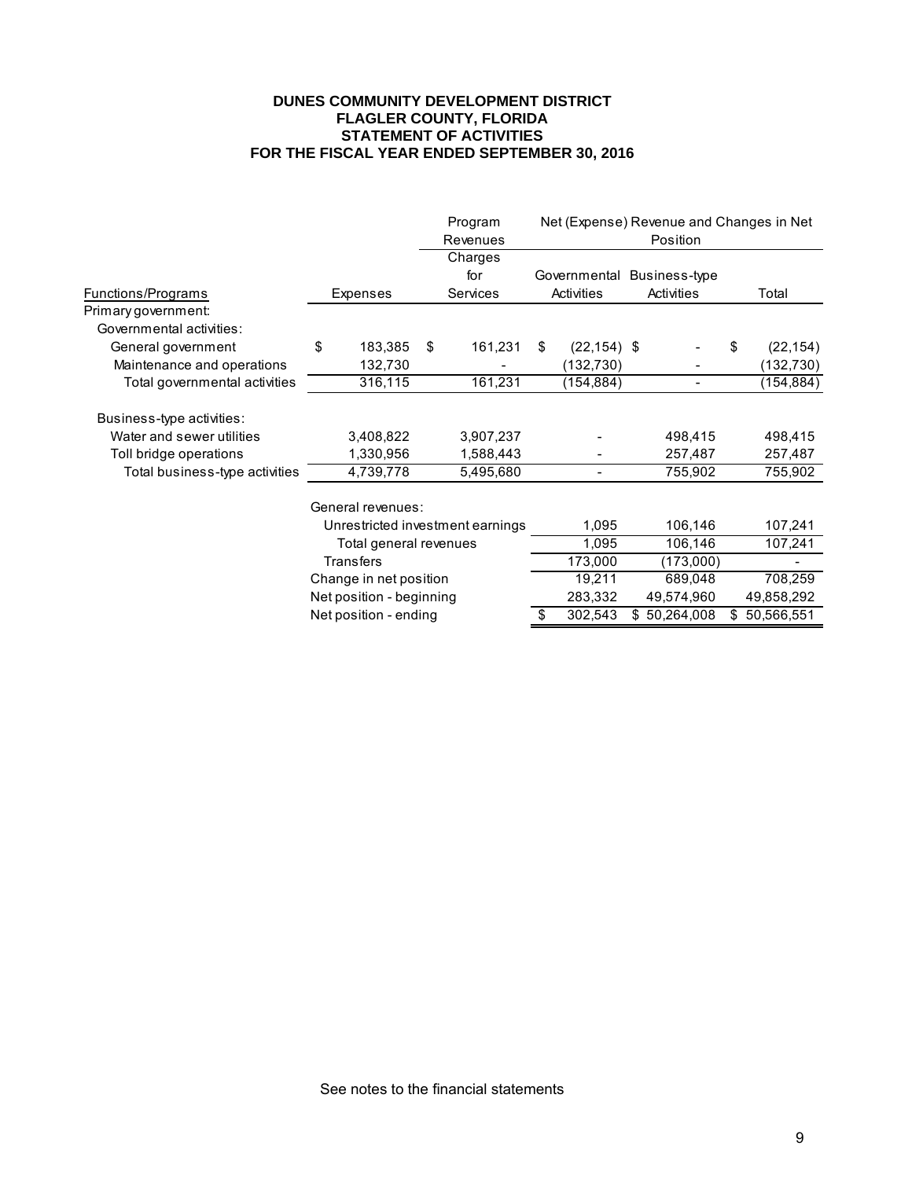## **DUNES COMMUNITY DEVELOPMENT DISTRICT FLAGLER COUNTY, FLORIDA STATEMENT OF ACTIVITIES FOR THE FISCAL YEAR ENDED SEPTEMBER 30, 2016**

|                                | Program  |                        |    | Net (Expense) Revenue and Changes in Net |    |                            |            |           |    |            |
|--------------------------------|----------|------------------------|----|------------------------------------------|----|----------------------------|------------|-----------|----|------------|
|                                |          |                        |    | Revenues                                 |    |                            |            | Position  |    |            |
|                                |          |                        |    | Charges                                  |    |                            |            |           |    |            |
|                                |          |                        |    | for                                      |    | Governmental Business-type |            |           |    |            |
| Functions/Programs             | Expenses |                        |    | Services                                 |    | Activities                 | Activities |           |    | Total      |
| Primary government:            |          |                        |    |                                          |    |                            |            |           |    |            |
| Governmental activities:       |          |                        |    |                                          |    |                            |            |           |    |            |
| General government             | \$       | 183,385                | \$ | 161,231                                  | \$ | $(22, 154)$ \$             |            |           | \$ | (22, 154)  |
| Maintenance and operations     |          | 132,730                |    |                                          |    | (132, 730)                 |            |           |    | (132, 730) |
| Total governmental activities  |          | 316,115                |    | 161,231                                  |    | (154,884)                  |            | -         |    | (154,884)  |
| Business-type activities:      |          |                        |    |                                          |    |                            |            |           |    |            |
| Water and sewer utilities      |          | 3,408,822              |    | 3,907,237                                |    |                            |            | 498,415   |    | 498,415    |
| Toll bridge operations         |          | 1,330,956              |    | 1,588,443                                |    |                            |            | 257,487   |    | 257,487    |
| Total business-type activities |          | 4,739,778              |    | 5,495,680                                |    |                            |            | 755,902   |    | 755,902    |
|                                |          | General revenues:      |    |                                          |    |                            |            |           |    |            |
|                                |          |                        |    | Unrestricted investment earnings         |    | 1,095                      |            | 106,146   |    | 107,241    |
|                                |          | Total general revenues |    |                                          |    | 1,095                      |            | 106,146   |    | 107,241    |
|                                |          | <b>Transfers</b>       |    |                                          |    | 173,000                    |            | (173,000) |    |            |
|                                |          | Change in net position |    |                                          |    | 19,211                     |            | 689,048   |    | 708,259    |

Net position - beginning 283,332 49,574,960 49,858,292 Net position - ending  $$302,543 $50,264,008 $50,566,551$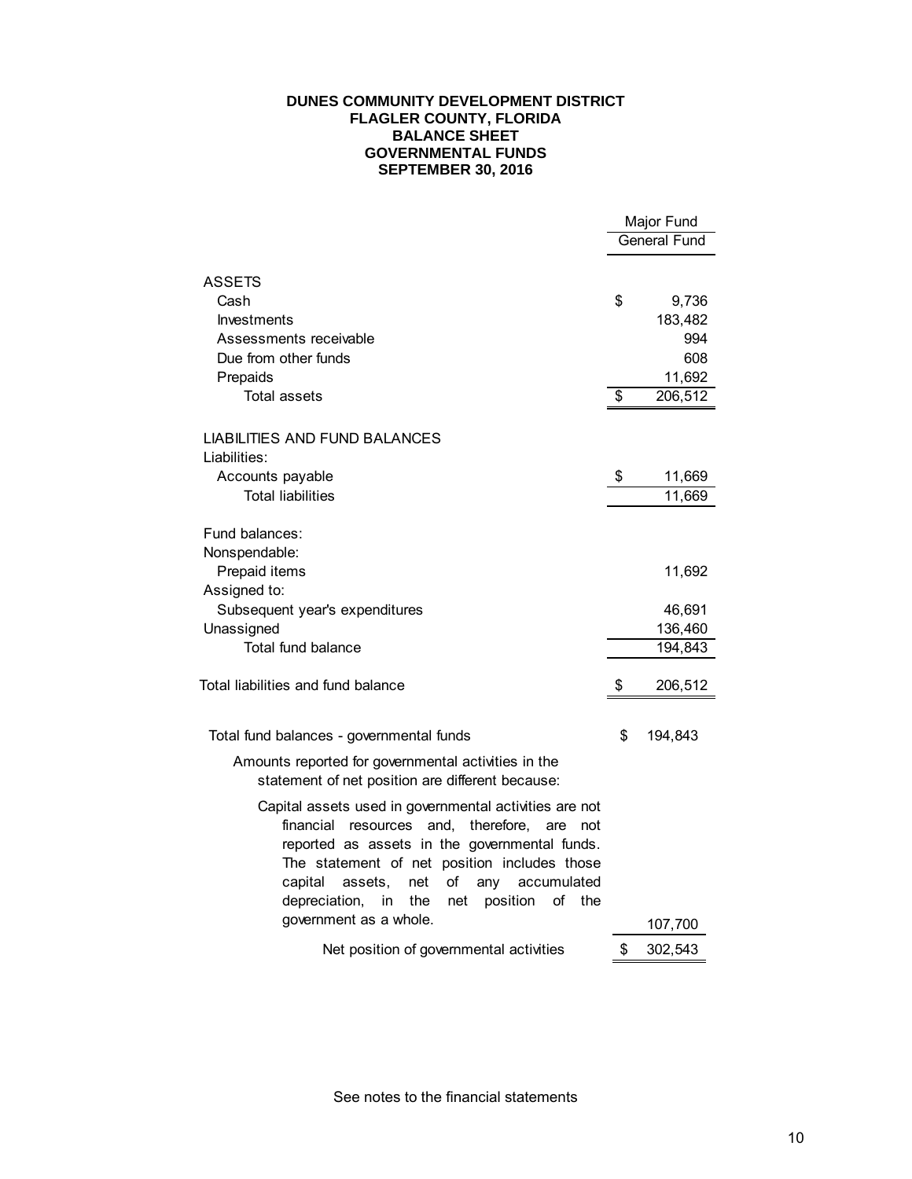## **DUNES COMMUNITY DEVELOPMENT DISTRICT FLAGLER COUNTY, FLORIDA BALANCE SHEET GOVERNMENTAL FUNDS SEPTEMBER 30, 2016**

| <b>General Fund</b><br><b>ASSETS</b><br>Cash<br>\$<br>9,736<br>Investments<br>183,482<br>Assessments receivable<br>994<br>Due from other funds<br>608<br>Prepaids<br>11,692<br><b>Total assets</b><br>\$<br>206,512                                                                                                                                                               |
|-----------------------------------------------------------------------------------------------------------------------------------------------------------------------------------------------------------------------------------------------------------------------------------------------------------------------------------------------------------------------------------|
|                                                                                                                                                                                                                                                                                                                                                                                   |
|                                                                                                                                                                                                                                                                                                                                                                                   |
|                                                                                                                                                                                                                                                                                                                                                                                   |
|                                                                                                                                                                                                                                                                                                                                                                                   |
|                                                                                                                                                                                                                                                                                                                                                                                   |
|                                                                                                                                                                                                                                                                                                                                                                                   |
|                                                                                                                                                                                                                                                                                                                                                                                   |
|                                                                                                                                                                                                                                                                                                                                                                                   |
|                                                                                                                                                                                                                                                                                                                                                                                   |
| LIABILITIES AND FUND BALANCES                                                                                                                                                                                                                                                                                                                                                     |
| Liabilities:                                                                                                                                                                                                                                                                                                                                                                      |
| \$<br>Accounts payable<br>11,669                                                                                                                                                                                                                                                                                                                                                  |
| <b>Total liabilities</b><br>11,669                                                                                                                                                                                                                                                                                                                                                |
|                                                                                                                                                                                                                                                                                                                                                                                   |
| Fund balances:                                                                                                                                                                                                                                                                                                                                                                    |
| Nonspendable:                                                                                                                                                                                                                                                                                                                                                                     |
| Prepaid items<br>11,692                                                                                                                                                                                                                                                                                                                                                           |
| Assigned to:                                                                                                                                                                                                                                                                                                                                                                      |
| Subsequent year's expenditures<br>46,691                                                                                                                                                                                                                                                                                                                                          |
| Unassigned<br>136,460                                                                                                                                                                                                                                                                                                                                                             |
| Total fund balance<br>194,843                                                                                                                                                                                                                                                                                                                                                     |
|                                                                                                                                                                                                                                                                                                                                                                                   |
| Total liabilities and fund balance<br>\$<br>206,512                                                                                                                                                                                                                                                                                                                               |
|                                                                                                                                                                                                                                                                                                                                                                                   |
| \$<br>194,843<br>Total fund balances - governmental funds                                                                                                                                                                                                                                                                                                                         |
| Amounts reported for governmental activities in the<br>statement of net position are different because:                                                                                                                                                                                                                                                                           |
| Capital assets used in governmental activities are not<br>financial<br>and,<br>therefore,<br>resources<br>are<br>not<br>reported as assets in the governmental funds.<br>The statement of net position includes those<br>net<br>οf<br>accumulated<br>capital<br>assets.<br>any<br>depreciation,<br>the<br>position<br>of<br>the<br>in<br>net<br>government as a whole.<br>107,700 |
| Net position of governmental activities<br>\$<br>302,543                                                                                                                                                                                                                                                                                                                          |

See notes to the financial statements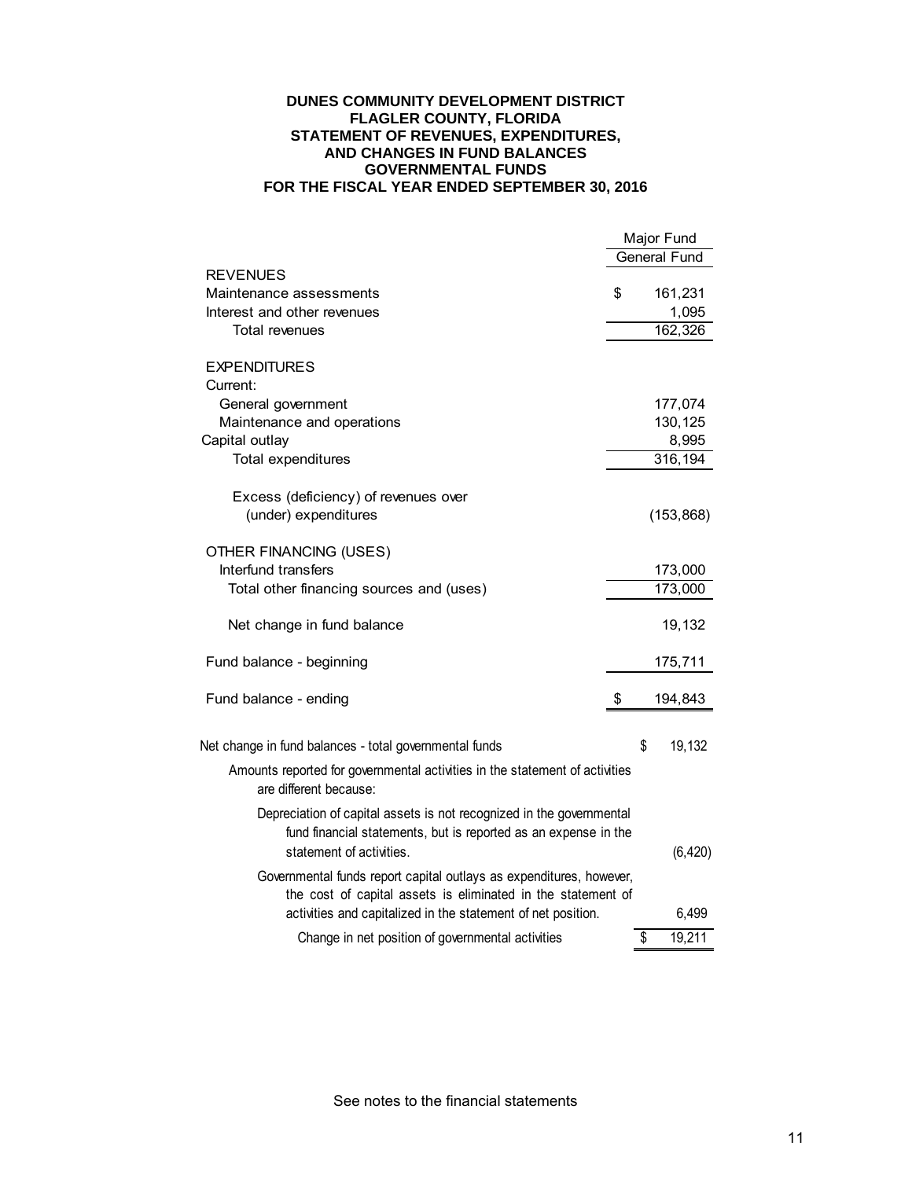## **DUNES COMMUNITY DEVELOPMENT DISTRICT FLAGLER COUNTY, FLORIDA STATEMENT OF REVENUES, EXPENDITURES, AND CHANGES IN FUND BALANCES GOVERNMENTAL FUNDS FOR THE FISCAL YEAR ENDED SEPTEMBER 30, 2016**

|                                                                             |    | Major Fund   |
|-----------------------------------------------------------------------------|----|--------------|
|                                                                             |    | General Fund |
| <b>REVENUES</b>                                                             |    |              |
| Maintenance assessments                                                     | \$ | 161,231      |
| Interest and other revenues                                                 |    | 1,095        |
| Total revenues                                                              |    | 162,326      |
| <b>EXPENDITURES</b>                                                         |    |              |
| Current:                                                                    |    |              |
| General government                                                          |    | 177,074      |
| Maintenance and operations                                                  |    | 130,125      |
| Capital outlay                                                              |    | 8,995        |
| Total expenditures                                                          |    | 316, 194     |
|                                                                             |    |              |
| Excess (deficiency) of revenues over                                        |    |              |
| (under) expenditures                                                        |    | (153, 868)   |
| OTHER FINANCING (USES)                                                      |    |              |
| Interfund transfers                                                         |    | 173,000      |
| Total other financing sources and (uses)                                    |    | 173,000      |
|                                                                             |    |              |
| Net change in fund balance                                                  |    | 19,132       |
|                                                                             |    |              |
| Fund balance - beginning                                                    |    | 175,711      |
|                                                                             |    |              |
| Fund balance - ending                                                       | \$ | 194,843      |
|                                                                             |    |              |
| Net change in fund balances - total governmental funds                      | \$ | 19,132       |
| Amounts reported for governmental activities in the statement of activities |    |              |
| are different because:                                                      |    |              |
| Depreciation of capital assets is not recognized in the governmental        |    |              |
| fund financial statements, but is reported as an expense in the             |    |              |
| statement of activities.                                                    |    | (6, 420)     |
| Governmental funds report capital outlays as expenditures, however,         |    |              |
| the cost of capital assets is eliminated in the statement of                |    |              |
| activities and capitalized in the statement of net position.                |    | 6,499        |
| Change in net position of governmental activities                           | \$ | 19,211       |
|                                                                             |    |              |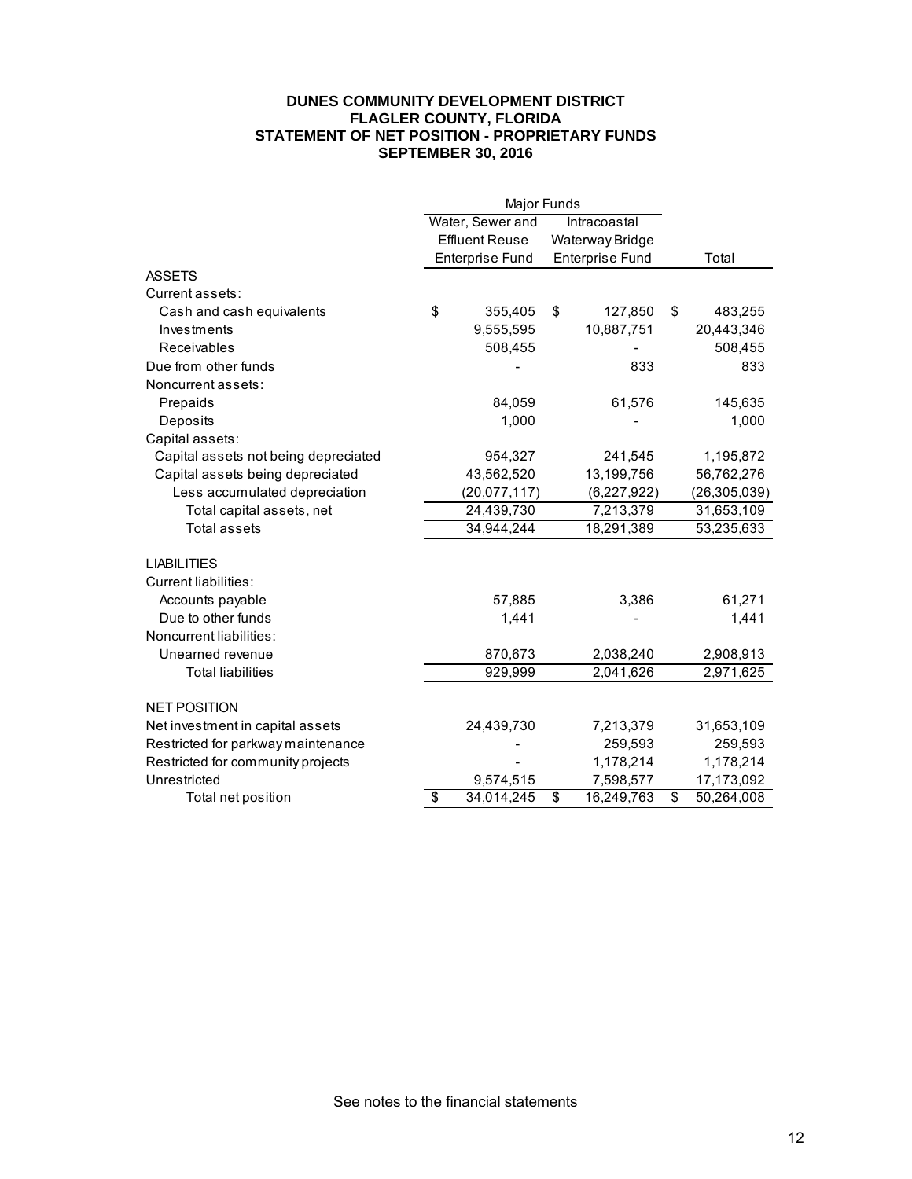## **DUNES COMMUNITY DEVELOPMENT DISTRICT FLAGLER COUNTY, FLORIDA STATEMENT OF NET POSITION - PROPRIETARY FUNDS SEPTEMBER 30, 2016**

|                                      |                          | Major Funds           |                        |                  |
|--------------------------------------|--------------------------|-----------------------|------------------------|------------------|
|                                      |                          | Water, Sewer and      | Intracoastal           |                  |
|                                      |                          | <b>Effluent Reuse</b> | Waterway Bridge        |                  |
|                                      |                          | Enterprise Fund       | <b>Enterprise Fund</b> | Total            |
| <b>ASSETS</b>                        |                          |                       |                        |                  |
| Current assets:                      |                          |                       |                        |                  |
| Cash and cash equivalents            | \$                       | 355,405               | \$<br>127,850          | \$<br>483,255    |
| Investments                          |                          | 9,555,595             | 10,887,751             | 20,443,346       |
| Receivables                          |                          | 508,455               |                        | 508,455          |
| Due from other funds                 |                          |                       | 833                    | 833              |
| Noncurrent assets:                   |                          |                       |                        |                  |
| Prepaids                             |                          | 84,059                | 61,576                 | 145,635          |
| Deposits                             |                          | 1,000                 |                        | 1,000            |
| Capital assets:                      |                          |                       |                        |                  |
| Capital assets not being depreciated |                          | 954,327               | 241,545                | 1,195,872        |
| Capital assets being depreciated     |                          | 43,562,520            | 13,199,756             | 56,762,276       |
| Less accumulated depreciation        |                          | (20,077,117)          | (6,227,922)            | (26, 305, 039)   |
| Total capital assets, net            |                          | 24,439,730            | 7,213,379              | 31,653,109       |
| <b>Total assets</b>                  |                          | 34,944,244            | 18,291,389             | 53,235,633       |
| <b>LIABILITIES</b>                   |                          |                       |                        |                  |
| Current liabilities:                 |                          |                       |                        |                  |
| Accounts payable                     |                          | 57,885                | 3,386                  | 61,271           |
| Due to other funds                   |                          | 1,441                 |                        | 1,441            |
| Noncurrent liabilities:              |                          |                       |                        |                  |
| Unearned revenue                     |                          | 870,673               | 2,038,240              | 2,908,913        |
| <b>Total liabilities</b>             |                          | 929,999               | 2,041,626              | 2,971,625        |
| <b>NET POSITION</b>                  |                          |                       |                        |                  |
| Net investment in capital assets     |                          | 24,439,730            | 7,213,379              | 31,653,109       |
| Restricted for parkway maintenance   |                          |                       | 259,593                | 259,593          |
| Restricted for community projects    |                          |                       | 1,178,214              | 1,178,214        |
| Unrestricted                         |                          | 9,574,515             | 7,598,577              | 17,173,092       |
| Total net position                   | $\overline{\mathcal{S}}$ | 34,014,245            | \$<br>16,249,763       | \$<br>50,264,008 |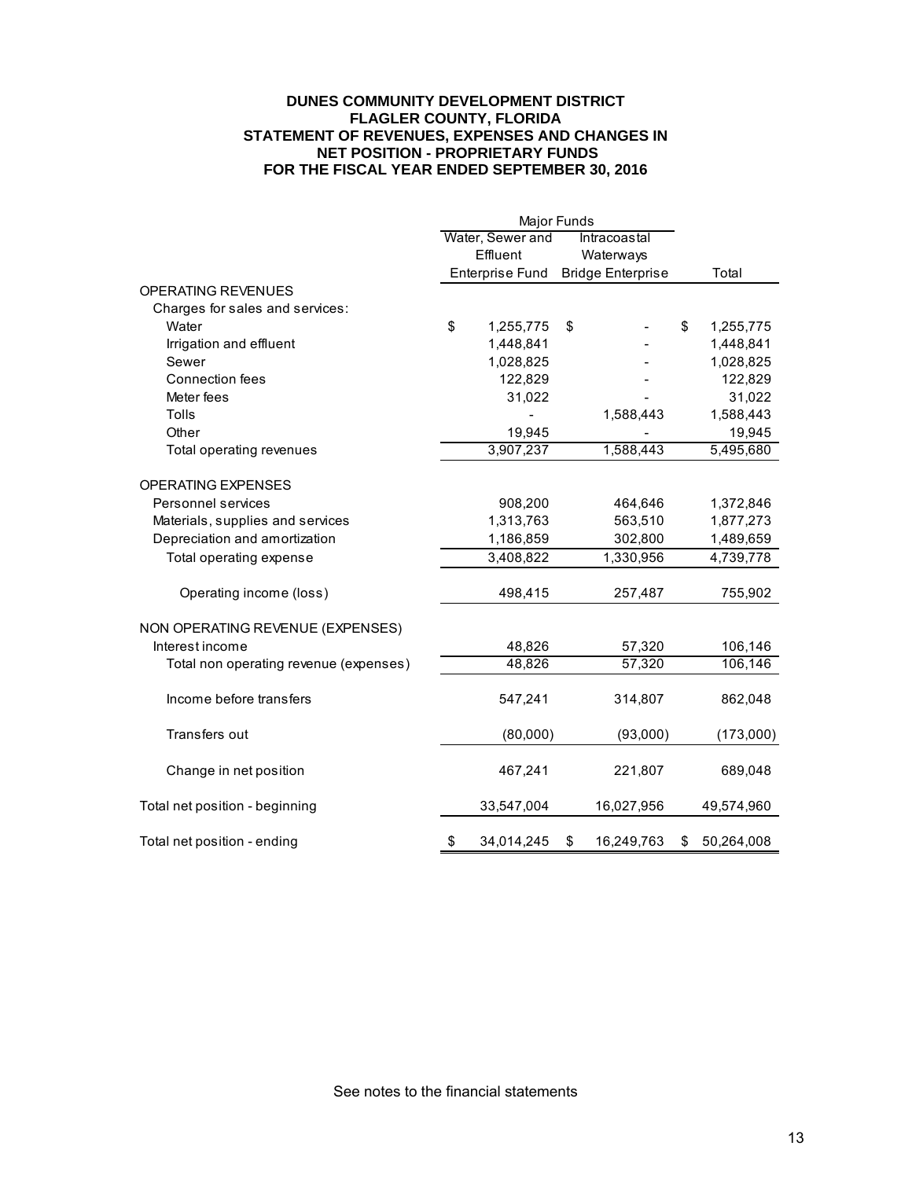## **DUNES COMMUNITY DEVELOPMENT DISTRICT FLAGLER COUNTY, FLORIDA STATEMENT OF REVENUES, EXPENSES AND CHANGES IN NET POSITION - PROPRIETARY FUNDS FOR THE FISCAL YEAR ENDED SEPTEMBER 30, 2016**

|                                        |    | Water, Sewer and | Intracoastal             |    |            |
|----------------------------------------|----|------------------|--------------------------|----|------------|
|                                        |    | Effluent         | Waterways                |    |            |
|                                        |    | Enterprise Fund  | <b>Bridge Enterprise</b> |    | Total      |
| <b>OPERATING REVENUES</b>              |    |                  |                          |    |            |
| Charges for sales and services:        |    |                  |                          |    |            |
| Water                                  | \$ | 1,255,775        | \$                       | \$ | 1,255,775  |
| Irrigation and effluent                |    | 1,448,841        |                          |    | 1,448,841  |
| Sewer                                  |    | 1,028,825        |                          |    | 1,028,825  |
| <b>Connection fees</b>                 |    | 122,829          |                          |    | 122,829    |
| Meter fees                             |    | 31,022           |                          |    | 31,022     |
| Tolls                                  |    |                  | 1,588,443                |    | 1,588,443  |
| Other                                  |    | 19,945           |                          |    | 19,945     |
| Total operating revenues               |    | 3,907,237        | 1,588,443                |    | 5,495,680  |
|                                        |    |                  |                          |    |            |
| <b>OPERATING EXPENSES</b>              |    |                  |                          |    |            |
| Personnel services                     |    | 908,200          | 464,646                  |    | 1,372,846  |
| Materials, supplies and services       |    | 1,313,763        | 563,510                  |    | 1,877,273  |
| Depreciation and amortization          |    | 1,186,859        | 302,800                  |    | 1,489,659  |
| Total operating expense                |    | 3,408,822        | 1,330,956                |    | 4,739,778  |
|                                        |    |                  |                          |    |            |
| Operating income (loss)                |    | 498,415          | 257,487                  |    | 755,902    |
| NON OPERATING REVENUE (EXPENSES)       |    |                  |                          |    |            |
| Interest income                        |    | 48,826           | 57,320                   |    | 106,146    |
| Total non operating revenue (expenses) |    | 48,826           | 57,320                   |    | 106,146    |
|                                        |    |                  |                          |    |            |
| Income before transfers                |    | 547,241          | 314,807                  |    | 862,048    |
|                                        |    |                  |                          |    |            |
| Transfers out                          |    | (80,000)         | (93,000)                 |    | (173,000)  |
| Change in net position                 |    | 467,241          | 221,807                  |    | 689,048    |
|                                        |    |                  |                          |    |            |
| Total net position - beginning         |    | 33,547,004       | 16,027,956               |    | 49,574,960 |
| Total net position - ending            | \$ | 34,014,245       | \$<br>16,249,763         | \$ | 50,264,008 |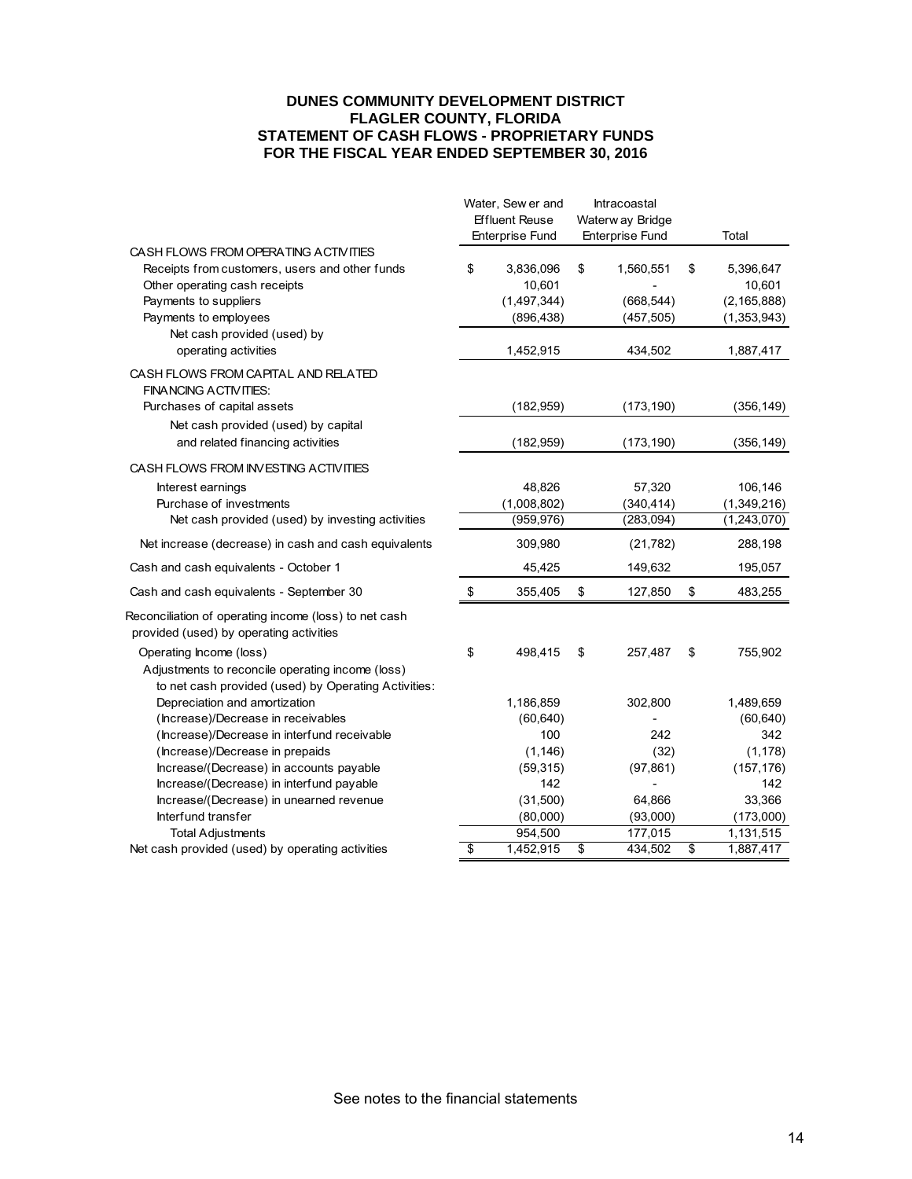## **DUNES COMMUNITY DEVELOPMENT DISTRICT FLAGLER COUNTY, FLORIDA STATEMENT OF CASH FLOWS - PROPRIETARY FUNDS FOR THE FISCAL YEAR ENDED SEPTEMBER 30, 2016**

|                                                       | Water, Sew er and      | Intracoastal           |                 |
|-------------------------------------------------------|------------------------|------------------------|-----------------|
|                                                       | <b>Effluent Reuse</b>  | Waterw ay Bridge       |                 |
|                                                       | <b>Enterprise Fund</b> | <b>Enterprise Fund</b> | Total           |
| CASH FLOWS FROM OPERATING ACTIVITIES                  |                        |                        |                 |
| Receipts from customers, users and other funds        | \$<br>3,836,096        | \$<br>1,560,551        | \$<br>5,396,647 |
| Other operating cash receipts                         | 10,601                 |                        | 10,601          |
| Payments to suppliers                                 | (1,497,344)            | (668, 544)             | (2, 165, 888)   |
| Payments to employees                                 | (896, 438)             | (457, 505)             | (1,353,943)     |
| Net cash provided (used) by                           |                        |                        |                 |
| operating activities                                  | 1,452,915              | 434,502                | 1,887,417       |
| CASH FLOWS FROM CAPITAL AND RELATED                   |                        |                        |                 |
| <b>FINANCING ACTIVITIES:</b>                          |                        |                        |                 |
| Purchases of capital assets                           | (182, 959)             | (173, 190)             | (356, 149)      |
| Net cash provided (used) by capital                   |                        |                        |                 |
| and related financing activities                      | (182, 959)             | (173, 190)             | (356, 149)      |
|                                                       |                        |                        |                 |
| CASH FLOWS FROM INVESTING ACTIVITIES                  |                        |                        |                 |
| Interest earnings                                     | 48,826                 | 57,320                 | 106,146         |
| Purchase of investments                               | (1,008,802)            | (340, 414)             | (1,349,216)     |
| Net cash provided (used) by investing activities      | (959, 976)             | (283, 094)             | (1,243,070)     |
| Net increase (decrease) in cash and cash equivalents  | 309,980                | (21, 782)              | 288,198         |
| Cash and cash equivalents - October 1                 | 45,425                 | 149,632                | 195,057         |
| Cash and cash equivalents - September 30              | \$<br>355,405          | \$<br>127,850          | \$<br>483,255   |
| Reconciliation of operating income (loss) to net cash |                        |                        |                 |
| provided (used) by operating activities               |                        |                        |                 |
| Operating Income (loss)                               | \$<br>498,415          | \$<br>257,487          | \$<br>755,902   |
| Adjustments to reconcile operating income (loss)      |                        |                        |                 |
| to net cash provided (used) by Operating Activities:  |                        |                        |                 |
| Depreciation and amortization                         | 1,186,859              | 302,800                | 1,489,659       |
| (Increase)/Decrease in receivables                    | (60, 640)              |                        | (60, 640)       |
| (Increase)/Decrease in interfund receivable           | 100                    | 242                    | 342             |
| (Increase)/Decrease in prepaids                       | (1, 146)               | (32)                   | (1, 178)        |
| Increase/(Decrease) in accounts payable               | (59, 315)              | (97, 861)              | (157, 176)      |
| Increase/(Decrease) in interfund payable              | 142                    |                        | 142             |
| Increase/(Decrease) in unearned revenue               | (31,500)               | 64,866                 | 33,366          |
| Interfund transfer                                    | (80,000)               | (93,000)               | (173,000)       |
| <b>Total Adjustments</b>                              | 954,500                | 177,015                | 1,131,515       |
| Net cash provided (used) by operating activities      | \$<br>1,452,915        | \$<br>434,502          | \$<br>1,887,417 |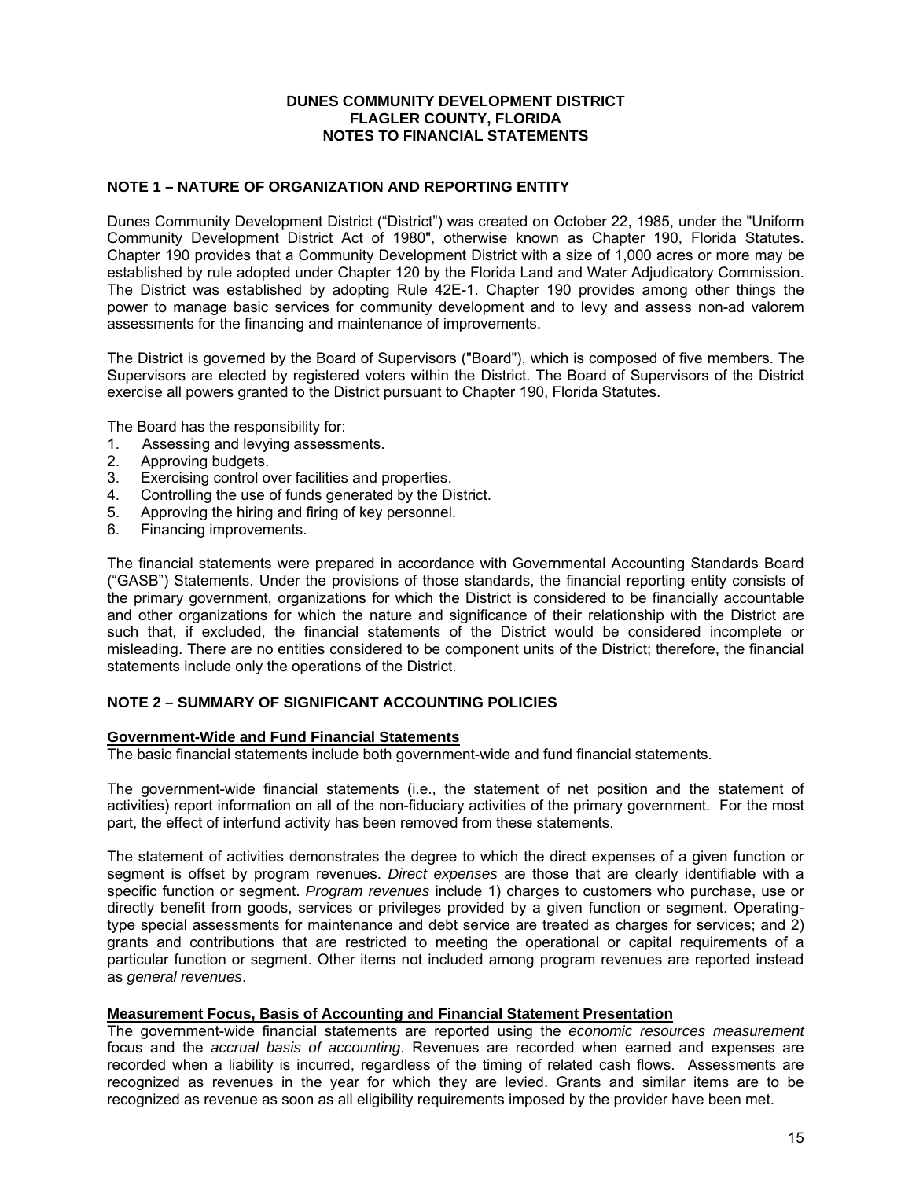## **DUNES COMMUNITY DEVELOPMENT DISTRICT FLAGLER COUNTY, FLORIDA NOTES TO FINANCIAL STATEMENTS**

## **NOTE 1 – NATURE OF ORGANIZATION AND REPORTING ENTITY**

Dunes Community Development District ("District") was created on October 22, 1985, under the "Uniform Community Development District Act of 1980", otherwise known as Chapter 190, Florida Statutes. Chapter 190 provides that a Community Development District with a size of 1,000 acres or more may be established by rule adopted under Chapter 120 by the Florida Land and Water Adjudicatory Commission. The District was established by adopting Rule 42E-1. Chapter 190 provides among other things the power to manage basic services for community development and to levy and assess non-ad valorem assessments for the financing and maintenance of improvements.

The District is governed by the Board of Supervisors ("Board"), which is composed of five members. The Supervisors are elected by registered voters within the District. The Board of Supervisors of the District exercise all powers granted to the District pursuant to Chapter 190, Florida Statutes.

The Board has the responsibility for:

- 1. Assessing and levying assessments.
- 2. Approving budgets.
- 3. Exercising control over facilities and properties.
- 4. Controlling the use of funds generated by the District.
- 5. Approving the hiring and firing of key personnel.
- 6. Financing improvements.

The financial statements were prepared in accordance with Governmental Accounting Standards Board ("GASB") Statements. Under the provisions of those standards, the financial reporting entity consists of the primary government, organizations for which the District is considered to be financially accountable and other organizations for which the nature and significance of their relationship with the District are such that, if excluded, the financial statements of the District would be considered incomplete or misleading. There are no entities considered to be component units of the District; therefore, the financial statements include only the operations of the District.

## **NOTE 2 – SUMMARY OF SIGNIFICANT ACCOUNTING POLICIES**

## **Government-Wide and Fund Financial Statements**

The basic financial statements include both government-wide and fund financial statements.

The government-wide financial statements (i.e., the statement of net position and the statement of activities) report information on all of the non-fiduciary activities of the primary government. For the most part, the effect of interfund activity has been removed from these statements.

The statement of activities demonstrates the degree to which the direct expenses of a given function or segment is offset by program revenues. *Direct expenses* are those that are clearly identifiable with a specific function or segment. *Program revenues* include 1) charges to customers who purchase, use or directly benefit from goods, services or privileges provided by a given function or segment. Operatingtype special assessments for maintenance and debt service are treated as charges for services; and 2) grants and contributions that are restricted to meeting the operational or capital requirements of a particular function or segment. Other items not included among program revenues are reported instead as *general revenues*.

## **Measurement Focus, Basis of Accounting and Financial Statement Presentation**

The government-wide financial statements are reported using the *economic resources measurement* focus and the *accrual basis of accounting*. Revenues are recorded when earned and expenses are recorded when a liability is incurred, regardless of the timing of related cash flows. Assessments are recognized as revenues in the year for which they are levied. Grants and similar items are to be recognized as revenue as soon as all eligibility requirements imposed by the provider have been met.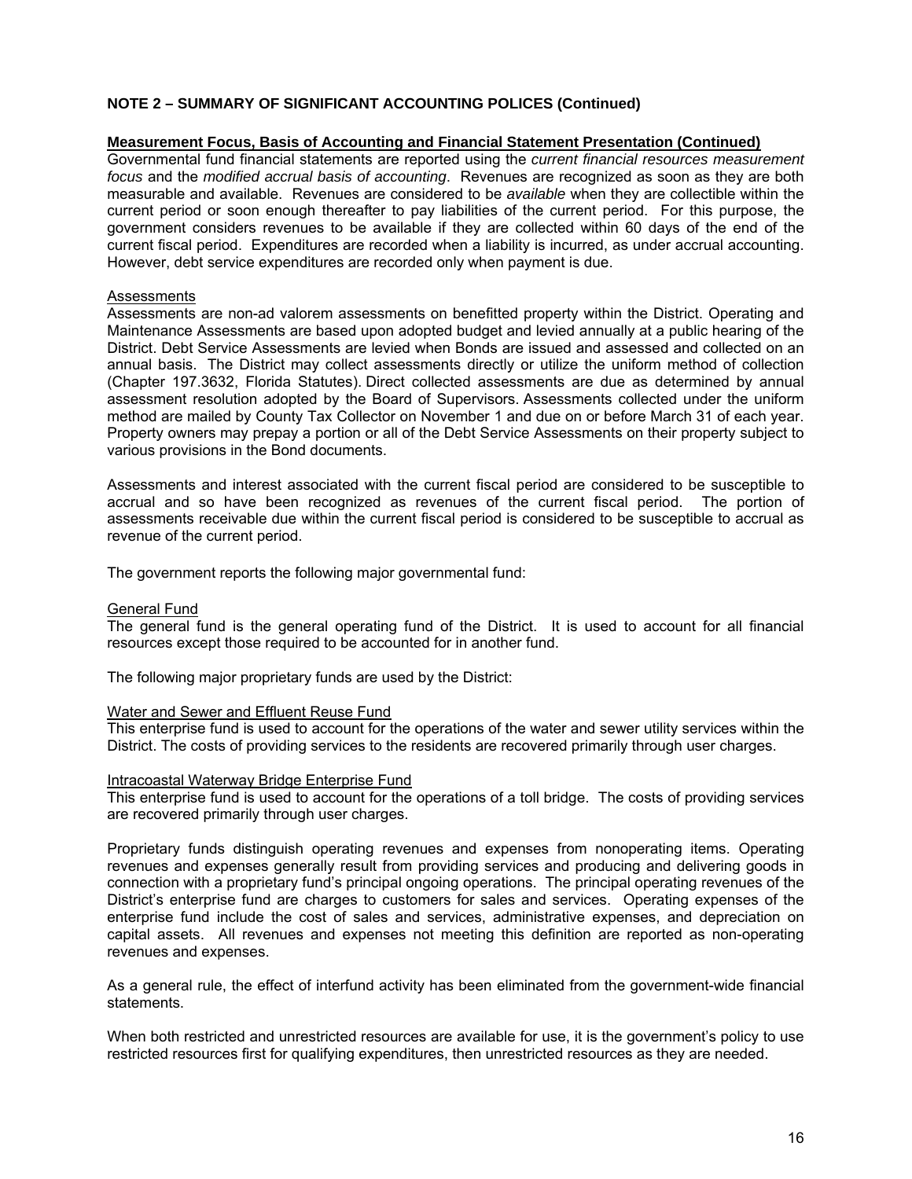#### **Measurement Focus, Basis of Accounting and Financial Statement Presentation (Continued)**

Governmental fund financial statements are reported using the *current financial resources measurement focus* and the *modified accrual basis of accounting*. Revenues are recognized as soon as they are both measurable and available. Revenues are considered to be *available* when they are collectible within the current period or soon enough thereafter to pay liabilities of the current period. For this purpose, the government considers revenues to be available if they are collected within 60 days of the end of the current fiscal period. Expenditures are recorded when a liability is incurred, as under accrual accounting. However, debt service expenditures are recorded only when payment is due.

#### Assessments

Assessments are non-ad valorem assessments on benefitted property within the District. Operating and Maintenance Assessments are based upon adopted budget and levied annually at a public hearing of the District. Debt Service Assessments are levied when Bonds are issued and assessed and collected on an annual basis. The District may collect assessments directly or utilize the uniform method of collection (Chapter 197.3632, Florida Statutes). Direct collected assessments are due as determined by annual assessment resolution adopted by the Board of Supervisors. Assessments collected under the uniform method are mailed by County Tax Collector on November 1 and due on or before March 31 of each year. Property owners may prepay a portion or all of the Debt Service Assessments on their property subject to various provisions in the Bond documents.

Assessments and interest associated with the current fiscal period are considered to be susceptible to accrual and so have been recognized as revenues of the current fiscal period. The portion of assessments receivable due within the current fiscal period is considered to be susceptible to accrual as revenue of the current period.

The government reports the following major governmental fund:

#### General Fund

The general fund is the general operating fund of the District. It is used to account for all financial resources except those required to be accounted for in another fund.

The following major proprietary funds are used by the District:

#### Water and Sewer and Effluent Reuse Fund

This enterprise fund is used to account for the operations of the water and sewer utility services within the District. The costs of providing services to the residents are recovered primarily through user charges.

#### Intracoastal Waterway Bridge Enterprise Fund

This enterprise fund is used to account for the operations of a toll bridge. The costs of providing services are recovered primarily through user charges.

Proprietary funds distinguish operating revenues and expenses from nonoperating items. Operating revenues and expenses generally result from providing services and producing and delivering goods in connection with a proprietary fund's principal ongoing operations. The principal operating revenues of the District's enterprise fund are charges to customers for sales and services. Operating expenses of the enterprise fund include the cost of sales and services, administrative expenses, and depreciation on capital assets. All revenues and expenses not meeting this definition are reported as non-operating revenues and expenses.

As a general rule, the effect of interfund activity has been eliminated from the government-wide financial statements.

When both restricted and unrestricted resources are available for use, it is the government's policy to use restricted resources first for qualifying expenditures, then unrestricted resources as they are needed.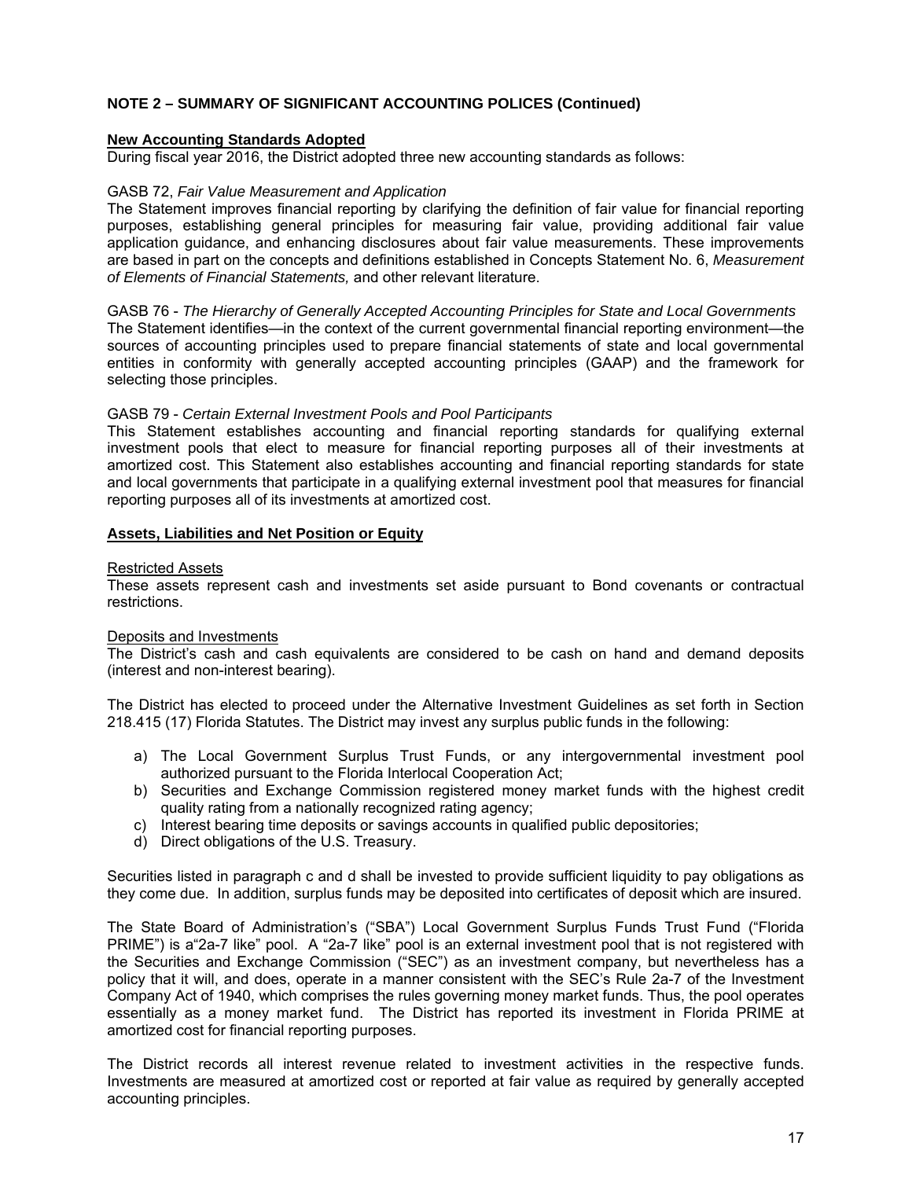## **New Accounting Standards Adopted**

During fiscal year 2016, the District adopted three new accounting standards as follows:

#### GASB 72, *Fair Value Measurement and Application*

The Statement improves financial reporting by clarifying the definition of fair value for financial reporting purposes, establishing general principles for measuring fair value, providing additional fair value application guidance, and enhancing disclosures about fair value measurements. These improvements are based in part on the concepts and definitions established in Concepts Statement No. 6, *Measurement of Elements of Financial Statements,* and other relevant literature.

GASB 76 - *The Hierarchy of Generally Accepted Accounting Principles for State and Local Governments*  The Statement identifies—in the context of the current governmental financial reporting environment—the sources of accounting principles used to prepare financial statements of state and local governmental entities in conformity with generally accepted accounting principles (GAAP) and the framework for selecting those principles.

## GASB 79 - *Certain External Investment Pools and Pool Participants*

This Statement establishes accounting and financial reporting standards for qualifying external investment pools that elect to measure for financial reporting purposes all of their investments at amortized cost. This Statement also establishes accounting and financial reporting standards for state and local governments that participate in a qualifying external investment pool that measures for financial reporting purposes all of its investments at amortized cost.

## **Assets, Liabilities and Net Position or Equity**

#### Restricted Assets

These assets represent cash and investments set aside pursuant to Bond covenants or contractual restrictions.

## Deposits and Investments

The District's cash and cash equivalents are considered to be cash on hand and demand deposits (interest and non-interest bearing).

The District has elected to proceed under the Alternative Investment Guidelines as set forth in Section 218.415 (17) Florida Statutes. The District may invest any surplus public funds in the following:

- a) The Local Government Surplus Trust Funds, or any intergovernmental investment pool authorized pursuant to the Florida Interlocal Cooperation Act;
- b) Securities and Exchange Commission registered money market funds with the highest credit quality rating from a nationally recognized rating agency;
- c) Interest bearing time deposits or savings accounts in qualified public depositories;
- d) Direct obligations of the U.S. Treasury.

Securities listed in paragraph c and d shall be invested to provide sufficient liquidity to pay obligations as they come due. In addition, surplus funds may be deposited into certificates of deposit which are insured.

The State Board of Administration's ("SBA") Local Government Surplus Funds Trust Fund ("Florida PRIME") is a"2a-7 like" pool. A "2a-7 like" pool is an external investment pool that is not registered with the Securities and Exchange Commission ("SEC") as an investment company, but nevertheless has a policy that it will, and does, operate in a manner consistent with the SEC's Rule 2a-7 of the Investment Company Act of 1940, which comprises the rules governing money market funds. Thus, the pool operates essentially as a money market fund. The District has reported its investment in Florida PRIME at amortized cost for financial reporting purposes.

The District records all interest revenue related to investment activities in the respective funds. Investments are measured at amortized cost or reported at fair value as required by generally accepted accounting principles.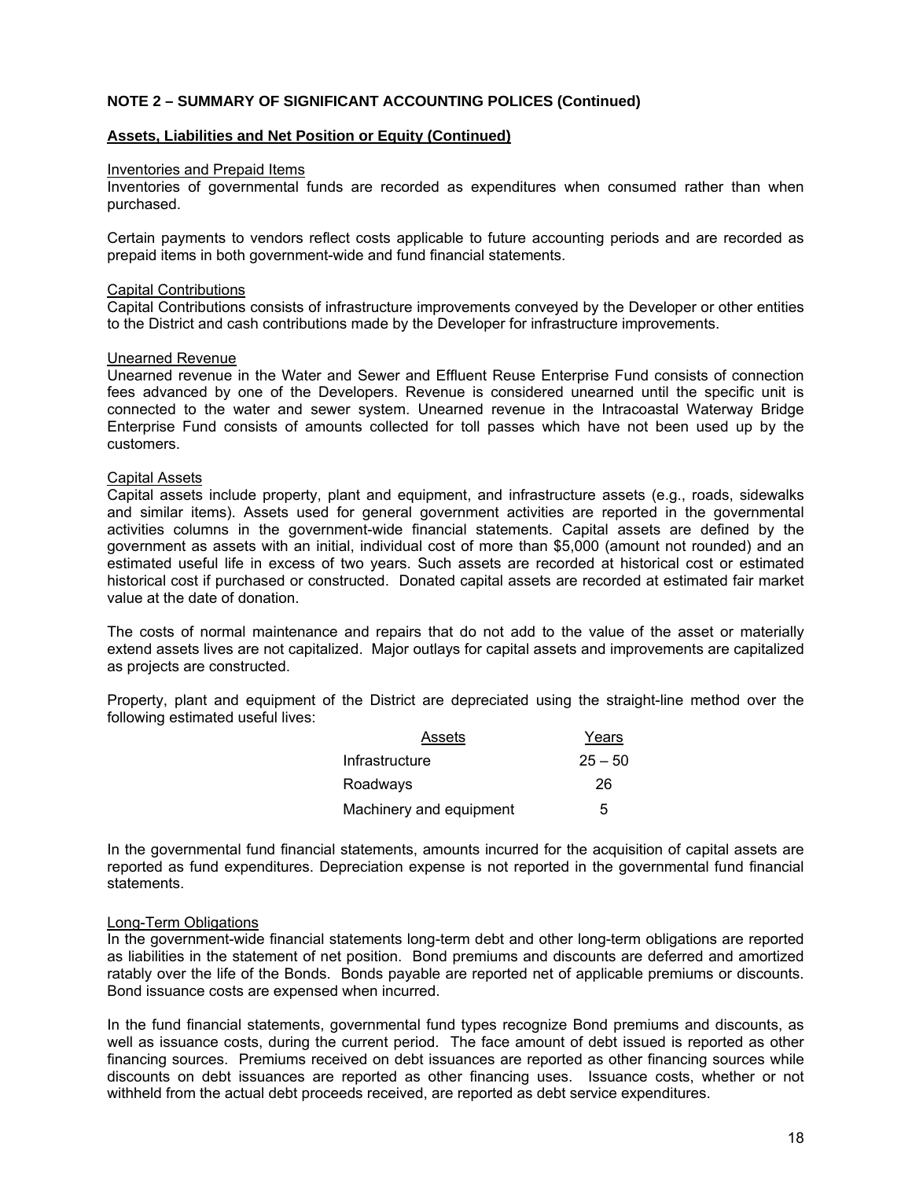#### **Assets, Liabilities and Net Position or Equity (Continued)**

#### Inventories and Prepaid Items

Inventories of governmental funds are recorded as expenditures when consumed rather than when purchased.

Certain payments to vendors reflect costs applicable to future accounting periods and are recorded as prepaid items in both government-wide and fund financial statements.

#### Capital Contributions

Capital Contributions consists of infrastructure improvements conveyed by the Developer or other entities to the District and cash contributions made by the Developer for infrastructure improvements.

#### Unearned Revenue

Unearned revenue in the Water and Sewer and Effluent Reuse Enterprise Fund consists of connection fees advanced by one of the Developers. Revenue is considered unearned until the specific unit is connected to the water and sewer system. Unearned revenue in the Intracoastal Waterway Bridge Enterprise Fund consists of amounts collected for toll passes which have not been used up by the customers.

#### Capital Assets

Capital assets include property, plant and equipment, and infrastructure assets (e.g., roads, sidewalks and similar items). Assets used for general government activities are reported in the governmental activities columns in the government-wide financial statements. Capital assets are defined by the government as assets with an initial, individual cost of more than \$5,000 (amount not rounded) and an estimated useful life in excess of two years. Such assets are recorded at historical cost or estimated historical cost if purchased or constructed. Donated capital assets are recorded at estimated fair market value at the date of donation.

The costs of normal maintenance and repairs that do not add to the value of the asset or materially extend assets lives are not capitalized. Major outlays for capital assets and improvements are capitalized as projects are constructed.

Property, plant and equipment of the District are depreciated using the straight-line method over the following estimated useful lives:

| Assets                  | Years     |
|-------------------------|-----------|
| Infrastructure          | $25 - 50$ |
| Roadways                | 26        |
| Machinery and equipment | 5         |

In the governmental fund financial statements, amounts incurred for the acquisition of capital assets are reported as fund expenditures. Depreciation expense is not reported in the governmental fund financial statements.

#### Long-Term Obligations

In the government-wide financial statements long-term debt and other long-term obligations are reported as liabilities in the statement of net position. Bond premiums and discounts are deferred and amortized ratably over the life of the Bonds. Bonds payable are reported net of applicable premiums or discounts. Bond issuance costs are expensed when incurred.

In the fund financial statements, governmental fund types recognize Bond premiums and discounts, as well as issuance costs, during the current period. The face amount of debt issued is reported as other financing sources. Premiums received on debt issuances are reported as other financing sources while discounts on debt issuances are reported as other financing uses. Issuance costs, whether or not withheld from the actual debt proceeds received, are reported as debt service expenditures.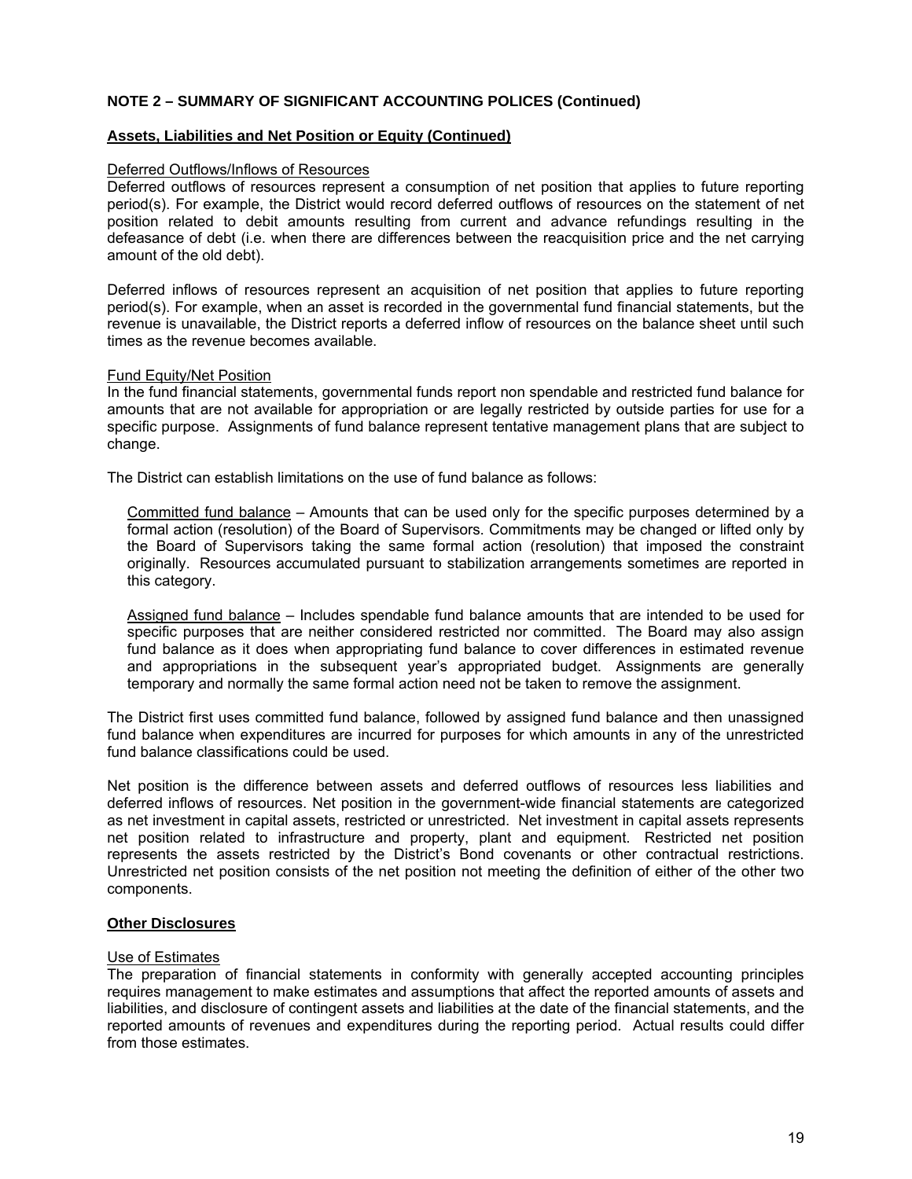#### **Assets, Liabilities and Net Position or Equity (Continued)**

#### Deferred Outflows/Inflows of Resources

Deferred outflows of resources represent a consumption of net position that applies to future reporting period(s). For example, the District would record deferred outflows of resources on the statement of net position related to debit amounts resulting from current and advance refundings resulting in the defeasance of debt (i.e. when there are differences between the reacquisition price and the net carrying amount of the old debt).

Deferred inflows of resources represent an acquisition of net position that applies to future reporting period(s). For example, when an asset is recorded in the governmental fund financial statements, but the revenue is unavailable, the District reports a deferred inflow of resources on the balance sheet until such times as the revenue becomes available.

#### Fund Equity/Net Position

In the fund financial statements, governmental funds report non spendable and restricted fund balance for amounts that are not available for appropriation or are legally restricted by outside parties for use for a specific purpose. Assignments of fund balance represent tentative management plans that are subject to change.

The District can establish limitations on the use of fund balance as follows:

Committed fund balance – Amounts that can be used only for the specific purposes determined by a formal action (resolution) of the Board of Supervisors. Commitments may be changed or lifted only by the Board of Supervisors taking the same formal action (resolution) that imposed the constraint originally. Resources accumulated pursuant to stabilization arrangements sometimes are reported in this category.

Assigned fund balance – Includes spendable fund balance amounts that are intended to be used for specific purposes that are neither considered restricted nor committed. The Board may also assign fund balance as it does when appropriating fund balance to cover differences in estimated revenue and appropriations in the subsequent year's appropriated budget. Assignments are generally temporary and normally the same formal action need not be taken to remove the assignment.

The District first uses committed fund balance, followed by assigned fund balance and then unassigned fund balance when expenditures are incurred for purposes for which amounts in any of the unrestricted fund balance classifications could be used.

Net position is the difference between assets and deferred outflows of resources less liabilities and deferred inflows of resources. Net position in the government-wide financial statements are categorized as net investment in capital assets, restricted or unrestricted. Net investment in capital assets represents net position related to infrastructure and property, plant and equipment. Restricted net position represents the assets restricted by the District's Bond covenants or other contractual restrictions. Unrestricted net position consists of the net position not meeting the definition of either of the other two components.

## **Other Disclosures**

#### Use of Estimates

The preparation of financial statements in conformity with generally accepted accounting principles requires management to make estimates and assumptions that affect the reported amounts of assets and liabilities, and disclosure of contingent assets and liabilities at the date of the financial statements, and the reported amounts of revenues and expenditures during the reporting period. Actual results could differ from those estimates.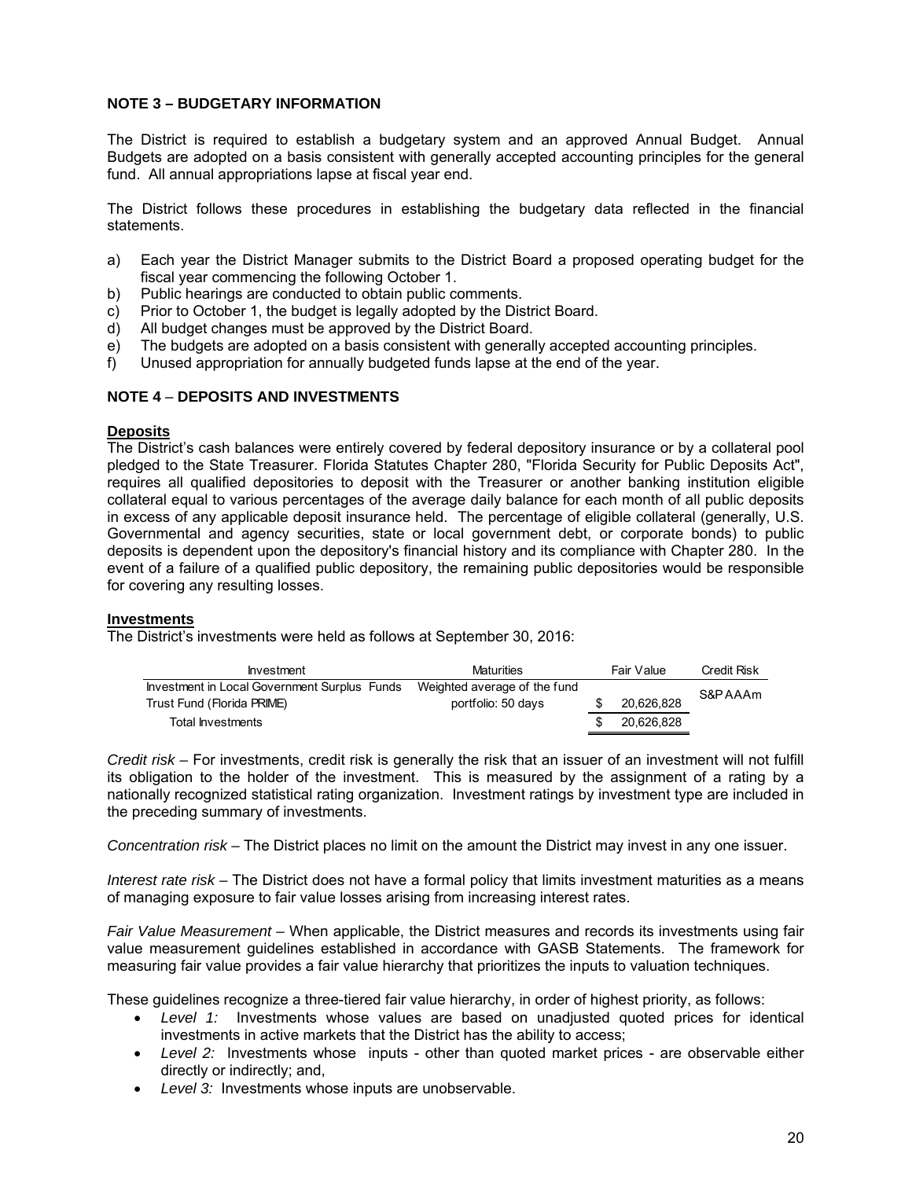# **NOTE 3 – BUDGETARY INFORMATION**

The District is required to establish a budgetary system and an approved Annual Budget. Annual Budgets are adopted on a basis consistent with generally accepted accounting principles for the general fund. All annual appropriations lapse at fiscal year end.

The District follows these procedures in establishing the budgetary data reflected in the financial statements.

- a) Each year the District Manager submits to the District Board a proposed operating budget for the fiscal year commencing the following October 1.
- b) Public hearings are conducted to obtain public comments.
- c) Prior to October 1, the budget is legally adopted by the District Board.
- d) All budget changes must be approved by the District Board.
- e) The budgets are adopted on a basis consistent with generally accepted accounting principles.
- f) Unused appropriation for annually budgeted funds lapse at the end of the year.

## **NOTE 4** – **DEPOSITS AND INVESTMENTS**

#### **Deposits**

The District's cash balances were entirely covered by federal depository insurance or by a collateral pool pledged to the State Treasurer. Florida Statutes Chapter 280, "Florida Security for Public Deposits Act", requires all qualified depositories to deposit with the Treasurer or another banking institution eligible collateral equal to various percentages of the average daily balance for each month of all public deposits in excess of any applicable deposit insurance held. The percentage of eligible collateral (generally, U.S. Governmental and agency securities, state or local government debt, or corporate bonds) to public deposits is dependent upon the depository's financial history and its compliance with Chapter 280. In the event of a failure of a qualified public depository, the remaining public depositories would be responsible for covering any resulting losses.

#### **Investments**

The District's investments were held as follows at September 30, 2016:

| <b>Investment</b>                            | Maturities                   | Fair Value | Credit Risk |
|----------------------------------------------|------------------------------|------------|-------------|
| Investment in Local Government Surplus Funds | Weighted average of the fund |            | S&P AAAm    |
| Trust Fund (Florida PRIME)                   | portfolio: 50 days           | 20,626,828 |             |
| Total Investments                            |                              | 20.626.828 |             |

*Credit risk –* For investments, credit risk is generally the risk that an issuer of an investment will not fulfill its obligation to the holder of the investment. This is measured by the assignment of a rating by a nationally recognized statistical rating organization. Investment ratings by investment type are included in the preceding summary of investments.

*Concentration risk –* The District places no limit on the amount the District may invest in any one issuer.

*Interest rate risk –* The District does not have a formal policy that limits investment maturities as a means of managing exposure to fair value losses arising from increasing interest rates.

*Fair Value Measurement –* When applicable, the District measures and records its investments using fair value measurement guidelines established in accordance with GASB Statements. The framework for measuring fair value provides a fair value hierarchy that prioritizes the inputs to valuation techniques.

These guidelines recognize a three-tiered fair value hierarchy, in order of highest priority, as follows:

- *Level 1:* Investments whose values are based on unadjusted quoted prices for identical investments in active markets that the District has the ability to access;
- *Level 2:* Investments whose inputs other than quoted market prices are observable either directly or indirectly; and,
- *Level 3:* Investments whose inputs are unobservable.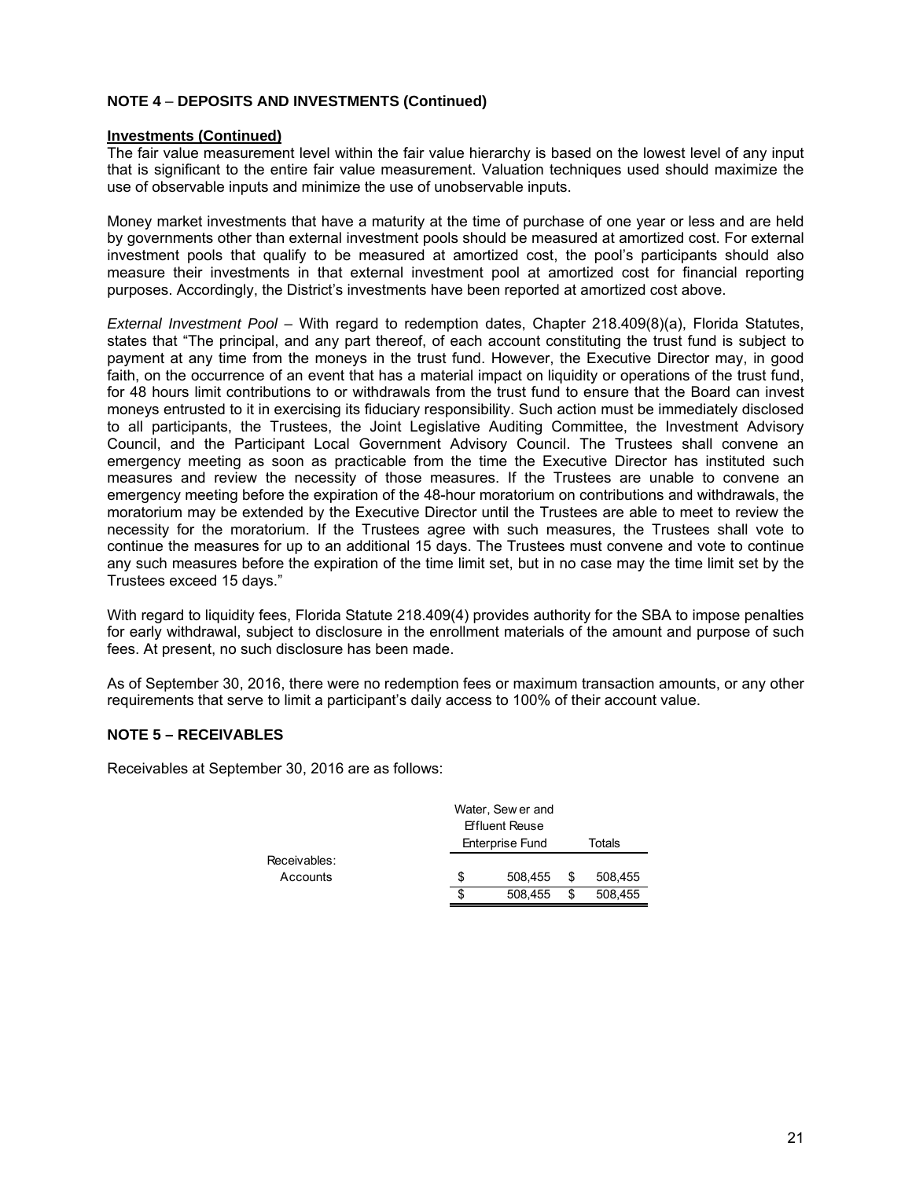# **NOTE 4** – **DEPOSITS AND INVESTMENTS (Continued)**

#### **Investments (Continued)**

The fair value measurement level within the fair value hierarchy is based on the lowest level of any input that is significant to the entire fair value measurement. Valuation techniques used should maximize the use of observable inputs and minimize the use of unobservable inputs.

Money market investments that have a maturity at the time of purchase of one year or less and are held by governments other than external investment pools should be measured at amortized cost. For external investment pools that qualify to be measured at amortized cost, the pool's participants should also measure their investments in that external investment pool at amortized cost for financial reporting purposes. Accordingly, the District's investments have been reported at amortized cost above.

*External Investment Pool –* With regard to redemption dates, Chapter 218.409(8)(a), Florida Statutes, states that "The principal, and any part thereof, of each account constituting the trust fund is subject to payment at any time from the moneys in the trust fund. However, the Executive Director may, in good faith, on the occurrence of an event that has a material impact on liquidity or operations of the trust fund, for 48 hours limit contributions to or withdrawals from the trust fund to ensure that the Board can invest moneys entrusted to it in exercising its fiduciary responsibility. Such action must be immediately disclosed to all participants, the Trustees, the Joint Legislative Auditing Committee, the Investment Advisory Council, and the Participant Local Government Advisory Council. The Trustees shall convene an emergency meeting as soon as practicable from the time the Executive Director has instituted such measures and review the necessity of those measures. If the Trustees are unable to convene an emergency meeting before the expiration of the 48-hour moratorium on contributions and withdrawals, the moratorium may be extended by the Executive Director until the Trustees are able to meet to review the necessity for the moratorium. If the Trustees agree with such measures, the Trustees shall vote to continue the measures for up to an additional 15 days. The Trustees must convene and vote to continue any such measures before the expiration of the time limit set, but in no case may the time limit set by the Trustees exceed 15 days."

With regard to liquidity fees, Florida Statute 218.409(4) provides authority for the SBA to impose penalties for early withdrawal, subject to disclosure in the enrollment materials of the amount and purpose of such fees. At present, no such disclosure has been made.

As of September 30, 2016, there were no redemption fees or maximum transaction amounts, or any other requirements that serve to limit a participant's daily access to 100% of their account value.

## **NOTE 5 – RECEIVABLES**

Receivables at September 30, 2016 are as follows:

|              | Water, Sew er and |                        |        |         |  |  |  |  |
|--------------|-------------------|------------------------|--------|---------|--|--|--|--|
|              |                   | <b>Effluent Reuse</b>  |        |         |  |  |  |  |
|              |                   | <b>Enterprise Fund</b> | Totals |         |  |  |  |  |
| Receivables: |                   |                        |        |         |  |  |  |  |
| Accounts     | S                 | 508.455                | S      | 508,455 |  |  |  |  |
|              | S                 | 508.455                |        | 508.455 |  |  |  |  |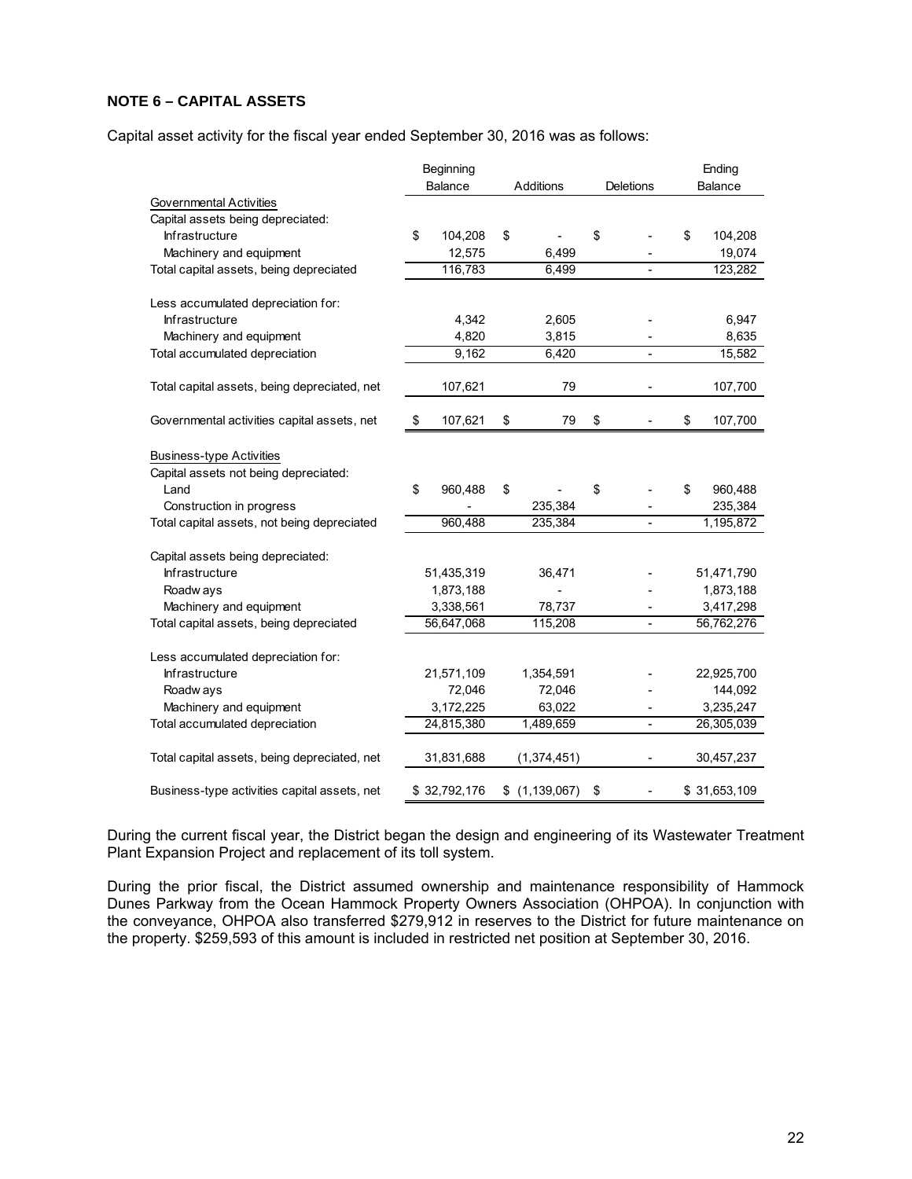# **NOTE 6 – CAPITAL ASSETS**

Capital asset activity for the fiscal year ended September 30, 2016 was as follows:

|                                              | Beginning<br>Balance |              | <b>Additions</b> | <b>Deletions</b> |    | Ending<br>Balance        |           |              |
|----------------------------------------------|----------------------|--------------|------------------|------------------|----|--------------------------|-----------|--------------|
| Governmental Activities                      |                      |              |                  |                  |    |                          |           |              |
| Capital assets being depreciated:            |                      |              |                  |                  |    |                          |           |              |
| Infrastructure                               | \$                   | 104,208      | \$               |                  | \$ |                          | \$        | 104,208      |
| Machinery and equipment                      |                      | 12,575       |                  | 6,499            |    |                          |           | 19,074       |
| Total capital assets, being depreciated      |                      | 116,783      |                  | 6,499            |    |                          |           | 123,282      |
|                                              |                      |              |                  |                  |    |                          |           |              |
| Less accumulated depreciation for:           |                      |              |                  |                  |    |                          |           |              |
| Infrastructure                               |                      | 4,342        |                  | 2,605            |    |                          |           | 6,947        |
| Machinery and equipment                      |                      | 4,820        |                  | 3,815            |    |                          |           | 8,635        |
| Total accumulated depreciation               |                      | 9,162        |                  | 6,420            |    |                          |           | 15,582       |
| Total capital assets, being depreciated, net |                      | 107,621      |                  | 79               |    |                          |           | 107,700      |
| Governmental activities capital assets, net  | \$                   | 107,621      | \$               | 79               | \$ |                          | \$        | 107,700      |
|                                              |                      |              |                  |                  |    |                          |           |              |
| <b>Business-type Activities</b>              |                      |              |                  |                  |    |                          |           |              |
| Capital assets not being depreciated:        |                      |              |                  |                  |    |                          |           |              |
| Land                                         | \$                   | 960,488      | \$               |                  | \$ |                          | \$        | 960,488      |
| Construction in progress                     |                      |              |                  | 235,384          |    |                          |           | 235,384      |
| Total capital assets, not being depreciated  |                      | 960,488      |                  | 235,384          |    | $\overline{\phantom{a}}$ |           | 1,195,872    |
| Capital assets being depreciated:            |                      |              |                  |                  |    |                          |           |              |
| <b>Infrastructure</b>                        | 51,435,319           |              | 36,471           |                  |    |                          |           | 51,471,790   |
| Roadw ays                                    | 1,873,188            |              |                  |                  |    |                          |           | 1,873,188    |
| Machinery and equipment                      | 3,338,561            |              | 78,737           |                  |    |                          | 3,417,298 |              |
| Total capital assets, being depreciated      |                      | 56,647,068   |                  | 115,208          |    | $\overline{\phantom{a}}$ |           | 56,762,276   |
|                                              |                      |              |                  |                  |    |                          |           |              |
| Less accumulated depreciation for:           |                      |              |                  |                  |    |                          |           |              |
| Infrastructure                               |                      | 21,571,109   |                  | 1,354,591        |    |                          |           | 22,925,700   |
| Roadw ays                                    |                      | 72,046       |                  | 72,046           |    |                          |           | 144,092      |
| Machinery and equipment                      |                      | 3,172,225    |                  | 63,022           |    |                          |           | 3,235,247    |
| Total accumulated depreciation               |                      | 24,815,380   |                  | 1,489,659        |    |                          |           | 26,305,039   |
| Total capital assets, being depreciated, net |                      | 31,831,688   |                  | (1,374,451)      |    |                          |           | 30,457,237   |
| Business-type activities capital assets, net |                      | \$32,792,176 | \$               | (1, 139, 067)    | \$ |                          |           | \$31,653,109 |

During the current fiscal year, the District began the design and engineering of its Wastewater Treatment Plant Expansion Project and replacement of its toll system.

During the prior fiscal, the District assumed ownership and maintenance responsibility of Hammock Dunes Parkway from the Ocean Hammock Property Owners Association (OHPOA). In conjunction with the conveyance, OHPOA also transferred \$279,912 in reserves to the District for future maintenance on the property. \$259,593 of this amount is included in restricted net position at September 30, 2016.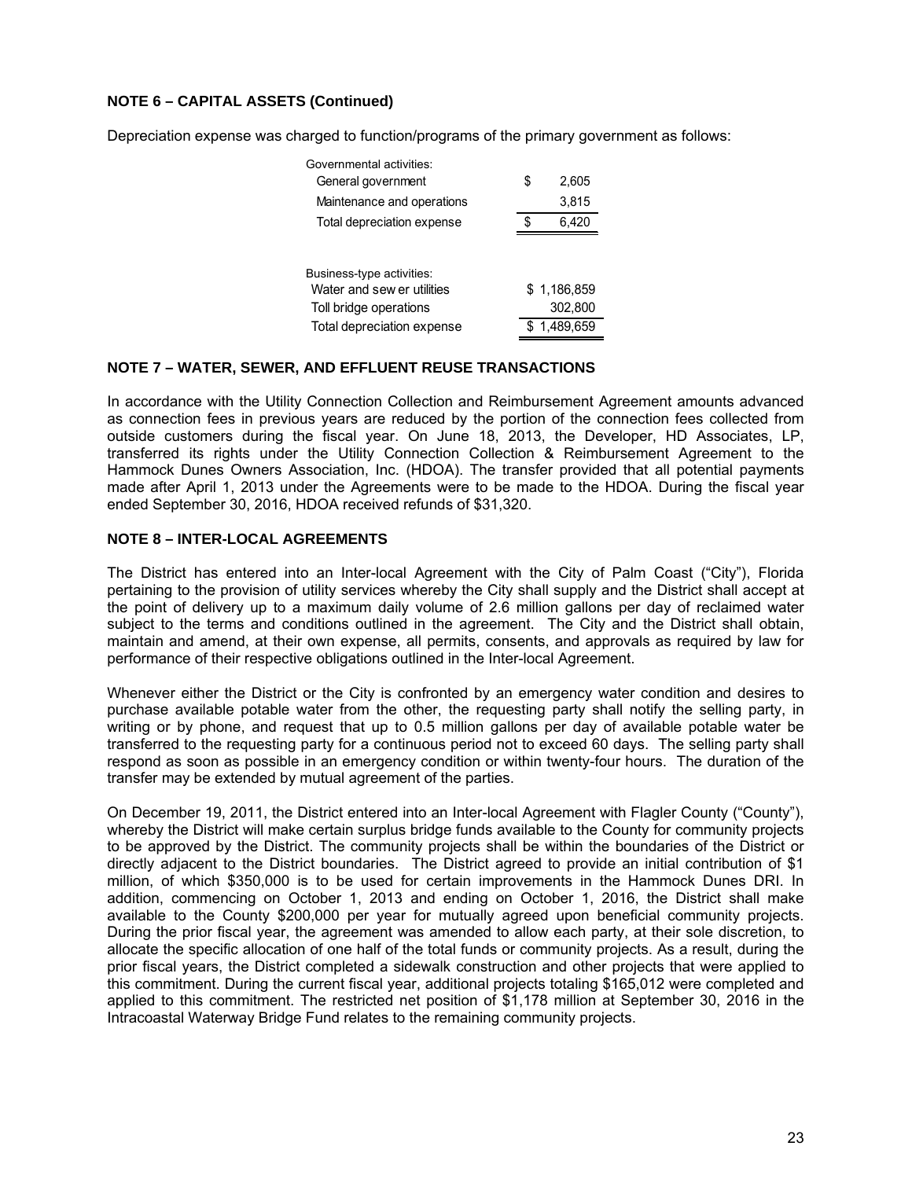# **NOTE 6 – CAPITAL ASSETS (Continued)**

Depreciation expense was charged to function/programs of the primary government as follows:

| Governmental activities:<br>General government                                    | \$ | 2,605                  |
|-----------------------------------------------------------------------------------|----|------------------------|
| Maintenance and operations                                                        |    | 3,815                  |
| Total depreciation expense                                                        | S. | 6,420                  |
| Business-type activities:<br>Water and sew er utilities<br>Toll bridge operations |    | \$1,186,859<br>302,800 |
| Total depreciation expense                                                        |    | \$1,489,659            |

## **NOTE 7 – WATER, SEWER, AND EFFLUENT REUSE TRANSACTIONS**

In accordance with the Utility Connection Collection and Reimbursement Agreement amounts advanced as connection fees in previous years are reduced by the portion of the connection fees collected from outside customers during the fiscal year. On June 18, 2013, the Developer, HD Associates, LP, transferred its rights under the Utility Connection Collection & Reimbursement Agreement to the Hammock Dunes Owners Association, Inc. (HDOA). The transfer provided that all potential payments made after April 1, 2013 under the Agreements were to be made to the HDOA. During the fiscal year ended September 30, 2016, HDOA received refunds of \$31,320.

## **NOTE 8 – INTER-LOCAL AGREEMENTS**

The District has entered into an Inter-local Agreement with the City of Palm Coast ("City"), Florida pertaining to the provision of utility services whereby the City shall supply and the District shall accept at the point of delivery up to a maximum daily volume of 2.6 million gallons per day of reclaimed water subject to the terms and conditions outlined in the agreement. The City and the District shall obtain, maintain and amend, at their own expense, all permits, consents, and approvals as required by law for performance of their respective obligations outlined in the Inter-local Agreement.

Whenever either the District or the City is confronted by an emergency water condition and desires to purchase available potable water from the other, the requesting party shall notify the selling party, in writing or by phone, and request that up to 0.5 million gallons per day of available potable water be transferred to the requesting party for a continuous period not to exceed 60 days. The selling party shall respond as soon as possible in an emergency condition or within twenty-four hours. The duration of the transfer may be extended by mutual agreement of the parties.

On December 19, 2011, the District entered into an Inter-local Agreement with Flagler County ("County"), whereby the District will make certain surplus bridge funds available to the County for community projects to be approved by the District. The community projects shall be within the boundaries of the District or directly adjacent to the District boundaries. The District agreed to provide an initial contribution of \$1 million, of which \$350,000 is to be used for certain improvements in the Hammock Dunes DRI. In addition, commencing on October 1, 2013 and ending on October 1, 2016, the District shall make available to the County \$200,000 per year for mutually agreed upon beneficial community projects. During the prior fiscal year, the agreement was amended to allow each party, at their sole discretion, to allocate the specific allocation of one half of the total funds or community projects. As a result, during the prior fiscal years, the District completed a sidewalk construction and other projects that were applied to this commitment. During the current fiscal year, additional projects totaling \$165,012 were completed and applied to this commitment. The restricted net position of \$1,178 million at September 30, 2016 in the Intracoastal Waterway Bridge Fund relates to the remaining community projects.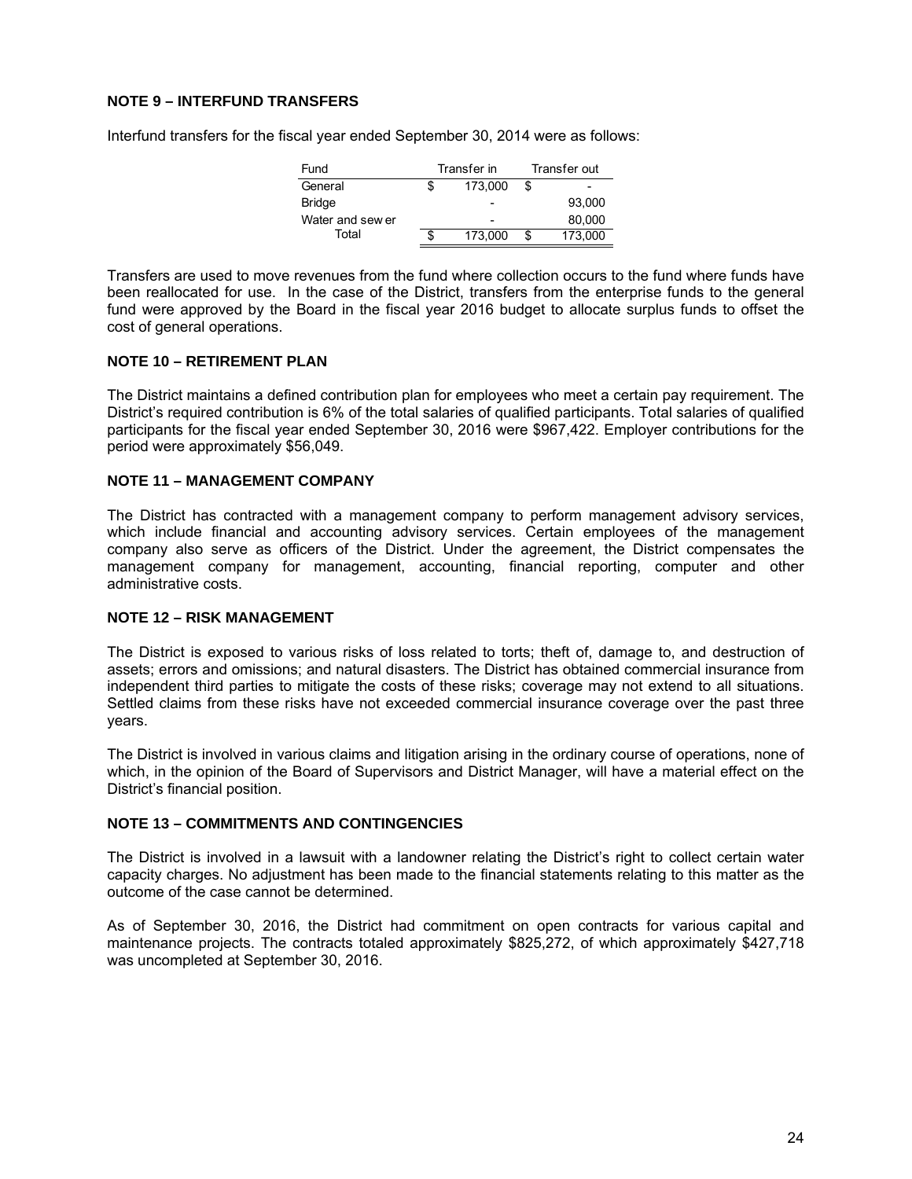# **NOTE 9 – INTERFUND TRANSFERS**

Interfund transfers for the fiscal year ended September 30, 2014 were as follows:

| Fund             | Transfer in | Transfer out |         |  |  |
|------------------|-------------|--------------|---------|--|--|
| General          | 173.000     |              | -       |  |  |
| <b>Bridge</b>    |             |              | 93,000  |  |  |
| Water and sew er |             |              | 80.000  |  |  |
| Total            | 173.000     | S            | 173,000 |  |  |

Transfers are used to move revenues from the fund where collection occurs to the fund where funds have been reallocated for use. In the case of the District, transfers from the enterprise funds to the general fund were approved by the Board in the fiscal year 2016 budget to allocate surplus funds to offset the cost of general operations.

## **NOTE 10 – RETIREMENT PLAN**

The District maintains a defined contribution plan for employees who meet a certain pay requirement. The District's required contribution is 6% of the total salaries of qualified participants. Total salaries of qualified participants for the fiscal year ended September 30, 2016 were \$967,422. Employer contributions for the period were approximately \$56,049.

## **NOTE 11 – MANAGEMENT COMPANY**

The District has contracted with a management company to perform management advisory services, which include financial and accounting advisory services. Certain employees of the management company also serve as officers of the District. Under the agreement, the District compensates the management company for management, accounting, financial reporting, computer and other administrative costs.

## **NOTE 12 – RISK MANAGEMENT**

The District is exposed to various risks of loss related to torts; theft of, damage to, and destruction of assets; errors and omissions; and natural disasters. The District has obtained commercial insurance from independent third parties to mitigate the costs of these risks; coverage may not extend to all situations. Settled claims from these risks have not exceeded commercial insurance coverage over the past three years.

The District is involved in various claims and litigation arising in the ordinary course of operations, none of which, in the opinion of the Board of Supervisors and District Manager, will have a material effect on the District's financial position.

## **NOTE 13 – COMMITMENTS AND CONTINGENCIES**

The District is involved in a lawsuit with a landowner relating the District's right to collect certain water capacity charges. No adjustment has been made to the financial statements relating to this matter as the outcome of the case cannot be determined.

As of September 30, 2016, the District had commitment on open contracts for various capital and maintenance projects. The contracts totaled approximately \$825,272, of which approximately \$427,718 was uncompleted at September 30, 2016.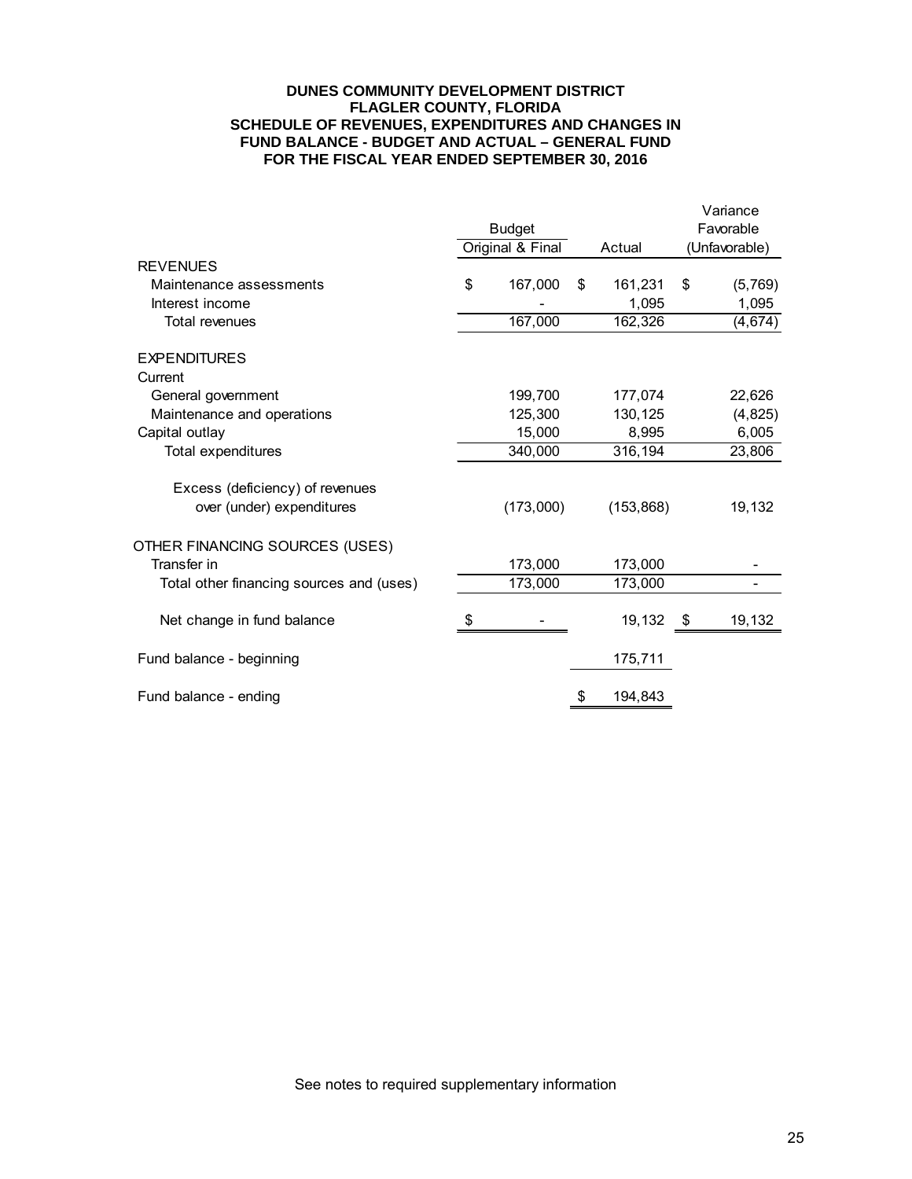## **DUNES COMMUNITY DEVELOPMENT DISTRICT FLAGLER COUNTY, FLORIDA SCHEDULE OF REVENUES, EXPENDITURES AND CHANGES IN FUND BALANCE - BUDGET AND ACTUAL – GENERAL FUND FOR THE FISCAL YEAR ENDED SEPTEMBER 30, 2016**

|                                          |                                   |           |        |            |               | Variance |  |
|------------------------------------------|-----------------------------------|-----------|--------|------------|---------------|----------|--|
|                                          | <b>Budget</b><br>Original & Final |           |        |            | Favorable     |          |  |
|                                          |                                   |           | Actual |            | (Unfavorable) |          |  |
| <b>REVENUES</b>                          |                                   |           |        |            |               |          |  |
| Maintenance assessments                  | \$                                | 167,000   | \$     | 161,231    | \$            | (5,769)  |  |
| Interest income                          |                                   |           |        | 1,095      |               | 1,095    |  |
| <b>Total revenues</b>                    |                                   | 167,000   |        | 162,326    |               | (4,674)  |  |
| <b>EXPENDITURES</b>                      |                                   |           |        |            |               |          |  |
| Current                                  |                                   |           |        |            |               |          |  |
| General government                       |                                   | 199,700   |        | 177,074    |               | 22,626   |  |
| Maintenance and operations               |                                   | 125,300   |        | 130,125    |               | (4,825)  |  |
| Capital outlay                           |                                   | 15,000    |        | 8,995      |               | 6,005    |  |
| Total expenditures                       |                                   | 340,000   |        | 316,194    |               | 23,806   |  |
| Excess (deficiency) of revenues          |                                   |           |        |            |               |          |  |
| over (under) expenditures                |                                   | (173,000) |        | (153, 868) |               | 19,132   |  |
| OTHER FINANCING SOURCES (USES)           |                                   |           |        |            |               |          |  |
| Transfer in                              |                                   | 173,000   |        | 173,000    |               |          |  |
| Total other financing sources and (uses) |                                   | 173,000   |        | 173,000    |               |          |  |
| Net change in fund balance               |                                   |           |        | 19,132     | \$            | 19,132   |  |
| Fund balance - beginning                 |                                   |           |        | 175,711    |               |          |  |
| Fund balance - ending                    |                                   |           | \$     | 194,843    |               |          |  |

See notes to required supplementary information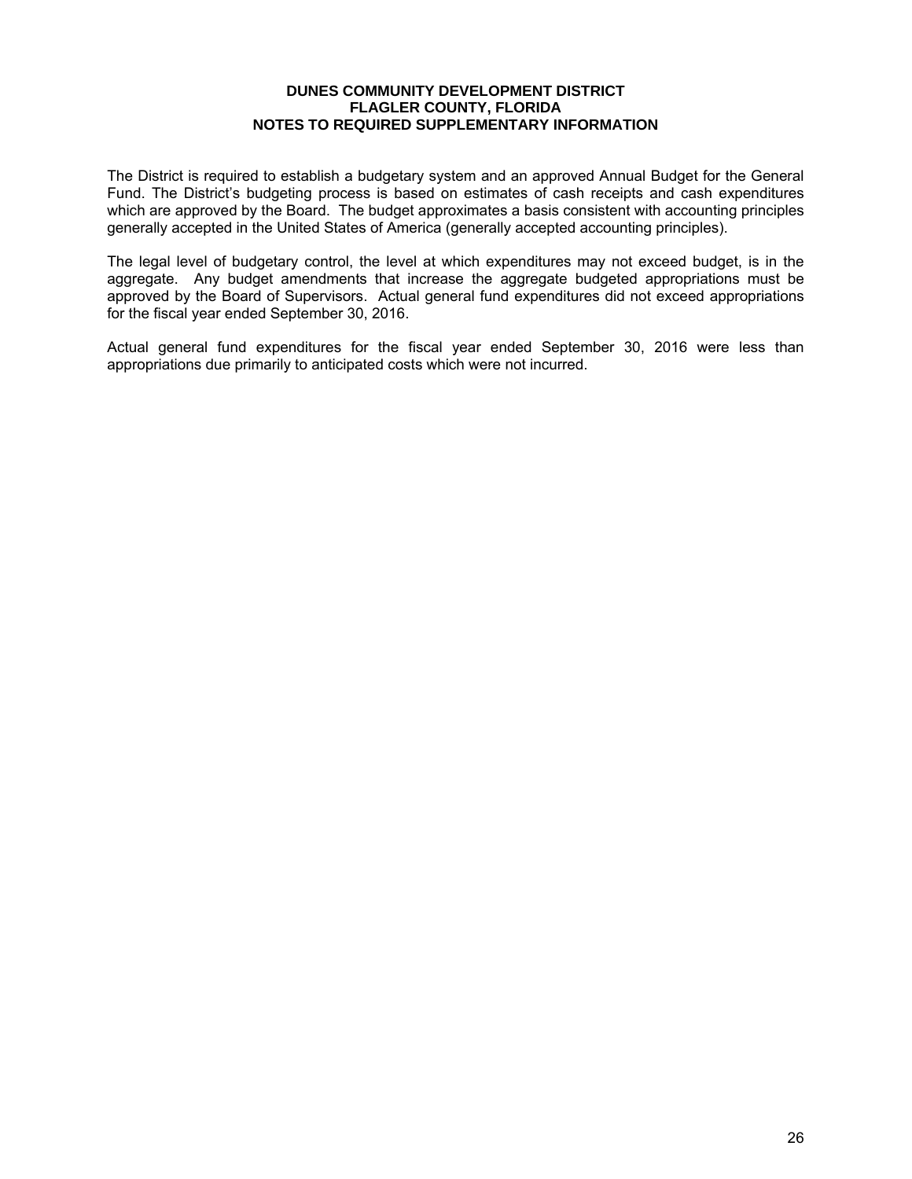## **DUNES COMMUNITY DEVELOPMENT DISTRICT FLAGLER COUNTY, FLORIDA NOTES TO REQUIRED SUPPLEMENTARY INFORMATION**

The District is required to establish a budgetary system and an approved Annual Budget for the General Fund. The District's budgeting process is based on estimates of cash receipts and cash expenditures which are approved by the Board. The budget approximates a basis consistent with accounting principles generally accepted in the United States of America (generally accepted accounting principles).

The legal level of budgetary control, the level at which expenditures may not exceed budget, is in the aggregate. Any budget amendments that increase the aggregate budgeted appropriations must be approved by the Board of Supervisors. Actual general fund expenditures did not exceed appropriations for the fiscal year ended September 30, 2016.

Actual general fund expenditures for the fiscal year ended September 30, 2016 were less than appropriations due primarily to anticipated costs which were not incurred.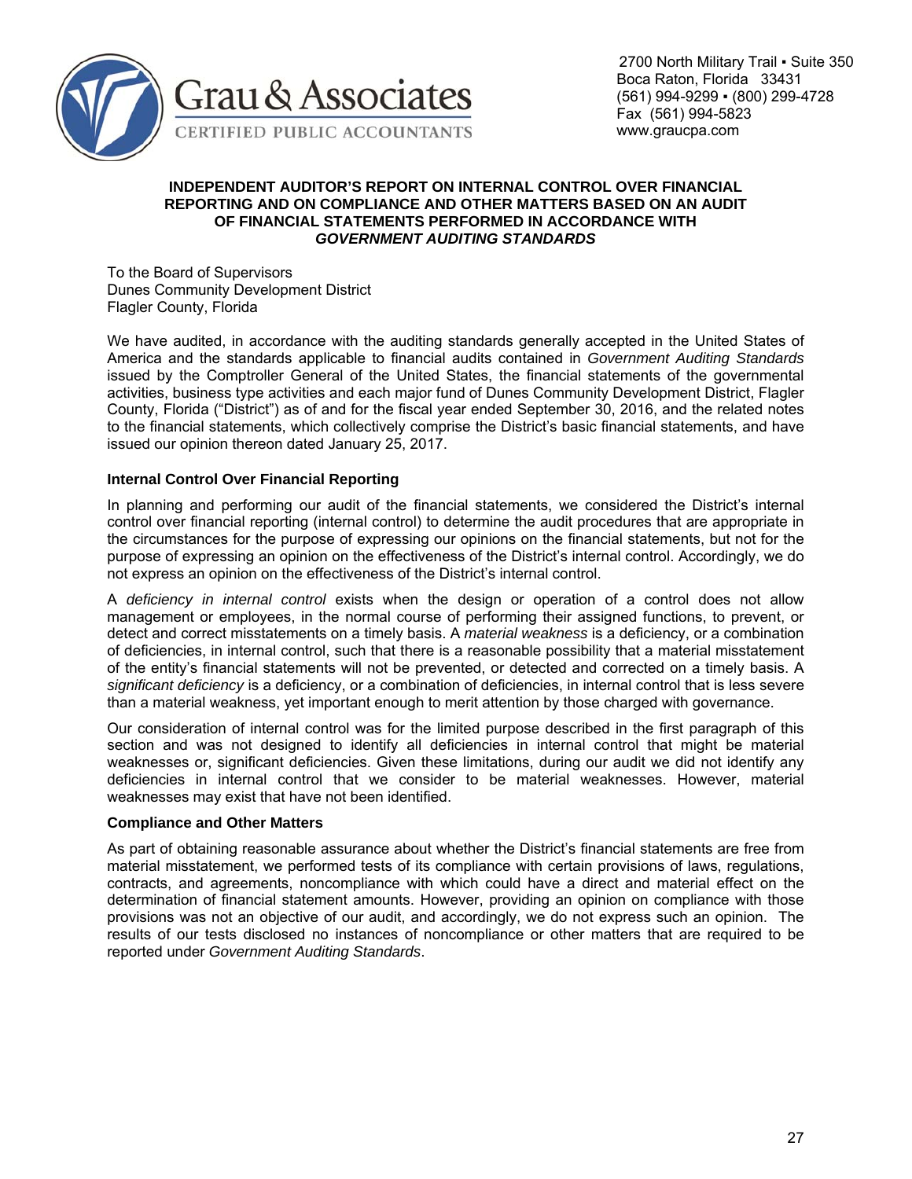

 2700 North Military Trail ▪ Suite 350 Boca Raton, Florida 33431 (561) 994-9299 ▪ (800) 299-4728 Fax (561) 994-5823 www.graucpa.com

## **INDEPENDENT AUDITOR'S REPORT ON INTERNAL CONTROL OVER FINANCIAL REPORTING AND ON COMPLIANCE AND OTHER MATTERS BASED ON AN AUDIT OF FINANCIAL STATEMENTS PERFORMED IN ACCORDANCE WITH**  *GOVERNMENT AUDITING STANDARDS*

To the Board of Supervisors Dunes Community Development District Flagler County, Florida

We have audited, in accordance with the auditing standards generally accepted in the United States of America and the standards applicable to financial audits contained in *Government Auditing Standards* issued by the Comptroller General of the United States, the financial statements of the governmental activities, business type activities and each major fund of Dunes Community Development District, Flagler County, Florida ("District") as of and for the fiscal year ended September 30, 2016, and the related notes to the financial statements, which collectively comprise the District's basic financial statements, and have issued our opinion thereon dated January 25, 2017.

## **Internal Control Over Financial Reporting**

In planning and performing our audit of the financial statements, we considered the District's internal control over financial reporting (internal control) to determine the audit procedures that are appropriate in the circumstances for the purpose of expressing our opinions on the financial statements, but not for the purpose of expressing an opinion on the effectiveness of the District's internal control. Accordingly, we do not express an opinion on the effectiveness of the District's internal control.

A *deficiency in internal control* exists when the design or operation of a control does not allow management or employees, in the normal course of performing their assigned functions, to prevent, or detect and correct misstatements on a timely basis. A *material weakness* is a deficiency, or a combination of deficiencies, in internal control, such that there is a reasonable possibility that a material misstatement of the entity's financial statements will not be prevented, or detected and corrected on a timely basis. A *significant deficiency* is a deficiency, or a combination of deficiencies, in internal control that is less severe than a material weakness, yet important enough to merit attention by those charged with governance.

Our consideration of internal control was for the limited purpose described in the first paragraph of this section and was not designed to identify all deficiencies in internal control that might be material weaknesses or, significant deficiencies. Given these limitations, during our audit we did not identify any deficiencies in internal control that we consider to be material weaknesses. However, material weaknesses may exist that have not been identified.

## **Compliance and Other Matters**

As part of obtaining reasonable assurance about whether the District's financial statements are free from material misstatement, we performed tests of its compliance with certain provisions of laws, regulations, contracts, and agreements, noncompliance with which could have a direct and material effect on the determination of financial statement amounts. However, providing an opinion on compliance with those provisions was not an objective of our audit, and accordingly, we do not express such an opinion. The results of our tests disclosed no instances of noncompliance or other matters that are required to be reported under *Government Auditing Standards*.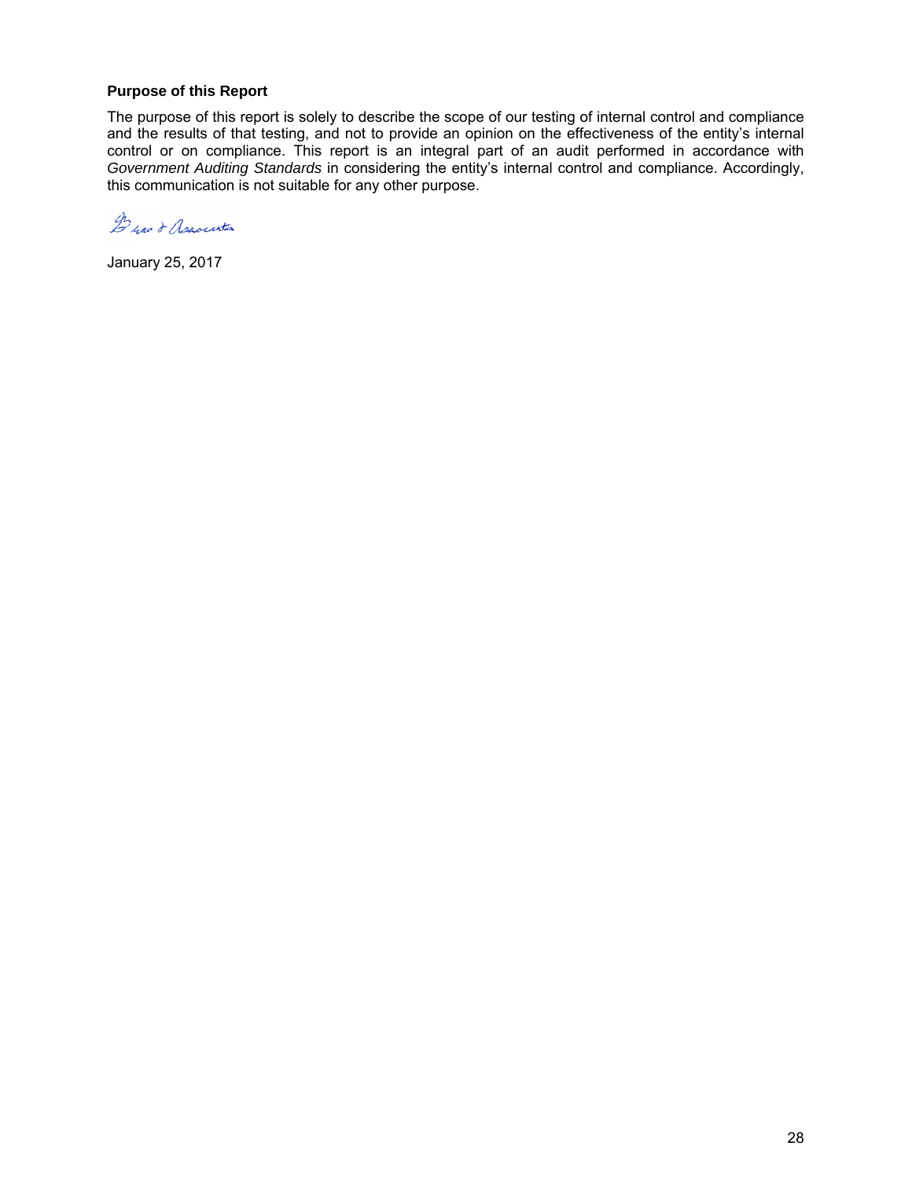# **Purpose of this Report**

The purpose of this report is solely to describe the scope of our testing of internal control and compliance and the results of that testing, and not to provide an opinion on the effectiveness of the entity's internal control or on compliance. This report is an integral part of an audit performed in accordance with *Government Auditing Standards* in considering the entity's internal control and compliance. Accordingly, this communication is not suitable for any other purpose.

Der d Desountes

January 25, 2017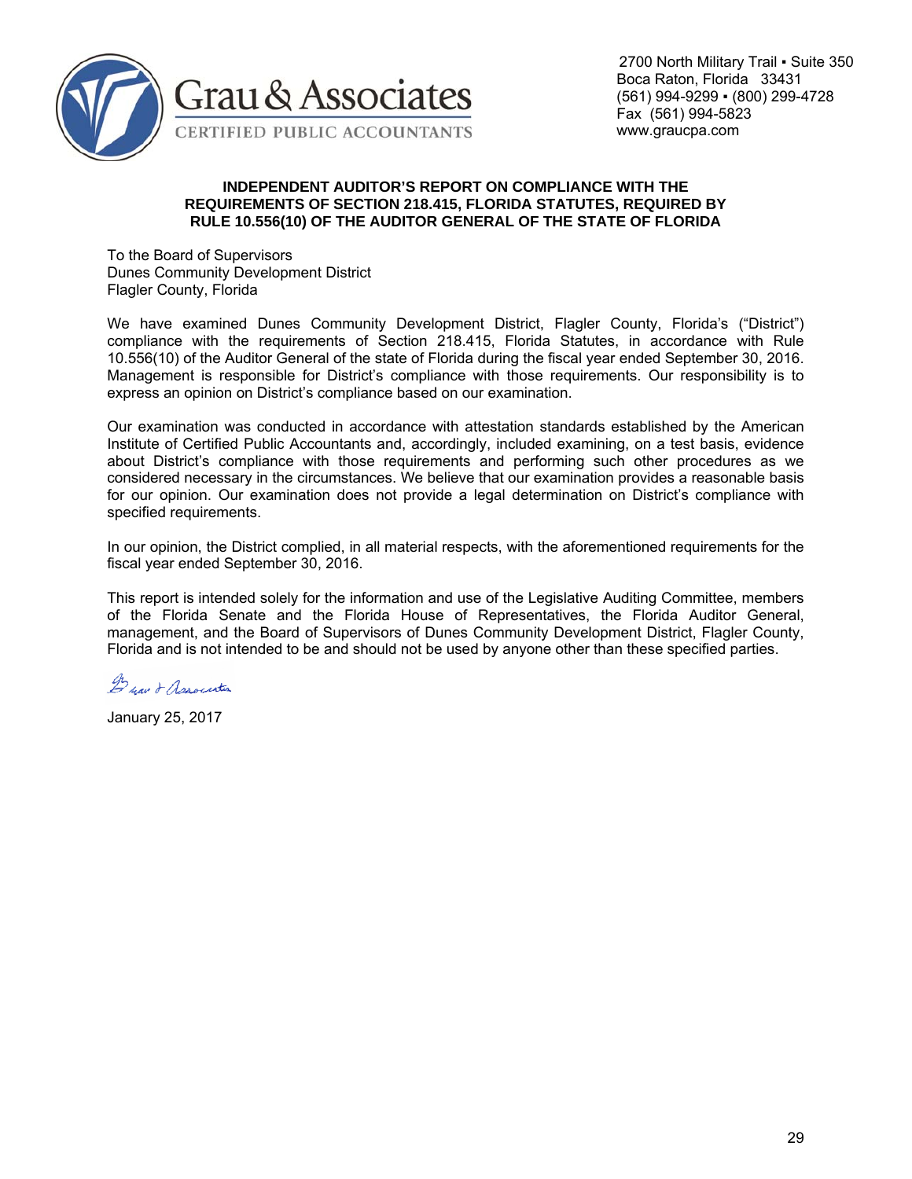

 2700 North Military Trail ▪ Suite 350 Boca Raton, Florida 33431 (561) 994-9299 ▪ (800) 299-4728 Fax (561) 994-5823 www.graucpa.com

## **INDEPENDENT AUDITOR'S REPORT ON COMPLIANCE WITH THE REQUIREMENTS OF SECTION 218.415, FLORIDA STATUTES, REQUIRED BY RULE 10.556(10) OF THE AUDITOR GENERAL OF THE STATE OF FLORIDA**

To the Board of Supervisors Dunes Community Development District Flagler County, Florida

We have examined Dunes Community Development District, Flagler County, Florida's ("District") compliance with the requirements of Section 218.415, Florida Statutes, in accordance with Rule 10.556(10) of the Auditor General of the state of Florida during the fiscal year ended September 30, 2016. Management is responsible for District's compliance with those requirements. Our responsibility is to express an opinion on District's compliance based on our examination.

Our examination was conducted in accordance with attestation standards established by the American Institute of Certified Public Accountants and, accordingly, included examining, on a test basis, evidence about District's compliance with those requirements and performing such other procedures as we considered necessary in the circumstances. We believe that our examination provides a reasonable basis for our opinion. Our examination does not provide a legal determination on District's compliance with specified requirements.

In our opinion, the District complied, in all material respects, with the aforementioned requirements for the fiscal year ended September 30, 2016.

This report is intended solely for the information and use of the Legislative Auditing Committee, members of the Florida Senate and the Florida House of Representatives, the Florida Auditor General, management, and the Board of Supervisors of Dunes Community Development District, Flagler County, Florida and is not intended to be and should not be used by anyone other than these specified parties.

D you & Association

January 25, 2017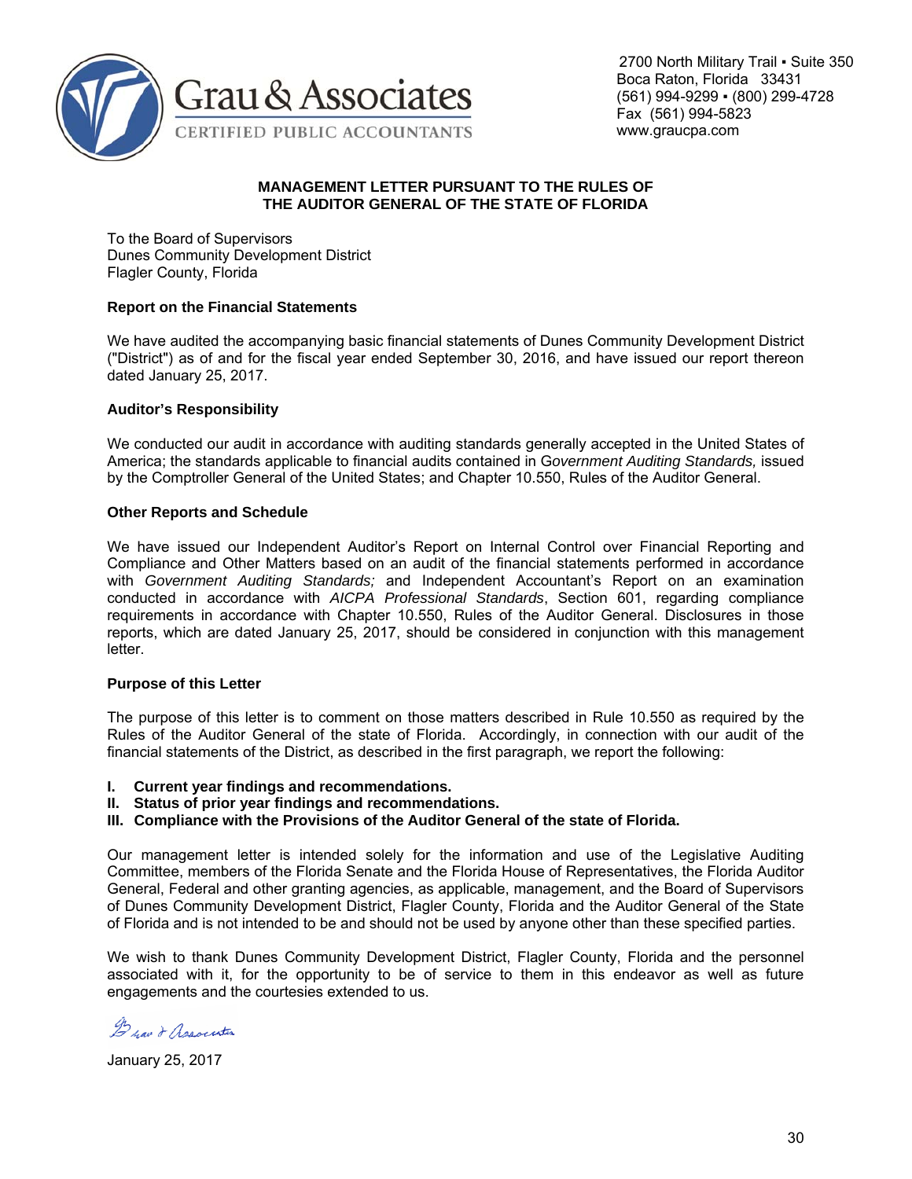

 2700 North Military Trail ▪ Suite 350 Boca Raton, Florida 33431 (561) 994-9299 ▪ (800) 299-4728 Fax (561) 994-5823 www.graucpa.com

# **MANAGEMENT LETTER PURSUANT TO THE RULES OF THE AUDITOR GENERAL OF THE STATE OF FLORIDA**

To the Board of Supervisors Dunes Community Development District Flagler County, Florida

## **Report on the Financial Statements**

We have audited the accompanying basic financial statements of Dunes Community Development District ("District") as of and for the fiscal year ended September 30, 2016, and have issued our report thereon dated January 25, 2017.

## **Auditor's Responsibility**

We conducted our audit in accordance with auditing standards generally accepted in the United States of America; the standards applicable to financial audits contained in G*overnment Auditing Standards,* issued by the Comptroller General of the United States; and Chapter 10.550, Rules of the Auditor General.

## **Other Reports and Schedule**

We have issued our Independent Auditor's Report on Internal Control over Financial Reporting and Compliance and Other Matters based on an audit of the financial statements performed in accordance with *Government Auditing Standards;* and Independent Accountant's Report on an examination conducted in accordance with *AICPA Professional Standards*, Section 601, regarding compliance requirements in accordance with Chapter 10.550, Rules of the Auditor General. Disclosures in those reports, which are dated January 25, 2017, should be considered in conjunction with this management letter.

## **Purpose of this Letter**

The purpose of this letter is to comment on those matters described in Rule 10.550 as required by the Rules of the Auditor General of the state of Florida. Accordingly, in connection with our audit of the financial statements of the District, as described in the first paragraph, we report the following:

- **I. Current year findings and recommendations.**
- **II. Status of prior year findings and recommendations.**
- **III. Compliance with the Provisions of the Auditor General of the state of Florida.**

Our management letter is intended solely for the information and use of the Legislative Auditing Committee, members of the Florida Senate and the Florida House of Representatives, the Florida Auditor General, Federal and other granting agencies, as applicable, management, and the Board of Supervisors of Dunes Community Development District, Flagler County, Florida and the Auditor General of the State of Florida and is not intended to be and should not be used by anyone other than these specified parties.

We wish to thank Dunes Community Development District, Flagler County, Florida and the personnel associated with it, for the opportunity to be of service to them in this endeavor as well as future engagements and the courtesies extended to us.

Dear & Association

January 25, 2017